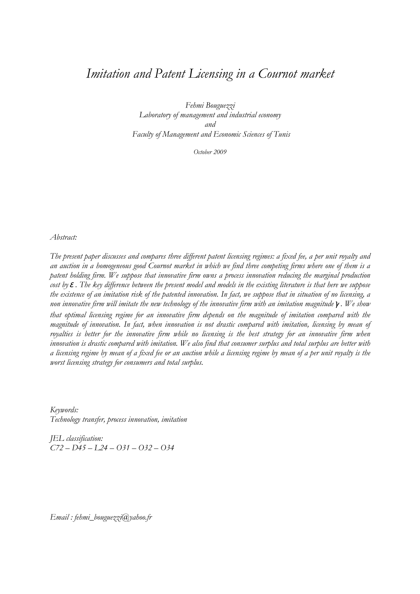### Imitation and Patent Licensing in a Cournot market

Fehmi Bouguezzi Laboratory of management and industrial economy and Faculty of Management and Economic Sciences of Tunis

October 2009

Abstract:

The present paper discusses and compares three different patent licensing regimes: a fixed fee, a per unit royalty and an auction in a homogeneous good Cournot market in which we find three competing firms where one of them is a patent holding firm. We suppose that innovative firm owns a process innovation reducing the marginal production cost by  $\varepsilon$ . The key difference between the present model and models in the existing literature is that here we suppose the existence of an imitation risk of the patented innovation. In fact, we suppose that in situation of no licensing, a non innovative firm will imitate the new technology of the innovative firm with an imitation magnitude  $\gamma$ . We show that optimal licensing regime for an innovative firm depends on the magnitude of imitation compared with the magnitude of innovation. In fact, when innovation is not drastic compared with imitation, licensing by mean of royalties is better for the innovative firm while no licensing is the best strategy for an innovative firm when innovation is drastic compared with imitation. We also find that consumer surplus and total surplus are better with a licensing regime by mean of a fixed fee or an auction while a licensing regime by mean of a per unit royalty is the worst licensing strategy for consumers and total surplus.

Keywords: Technology transfer, process innovation, imitation

JEL classification:  $C$ 72 – D45 – L24 – O31 – O32 – O34

Email : fehmi\_bouguezzi@yahoo.fr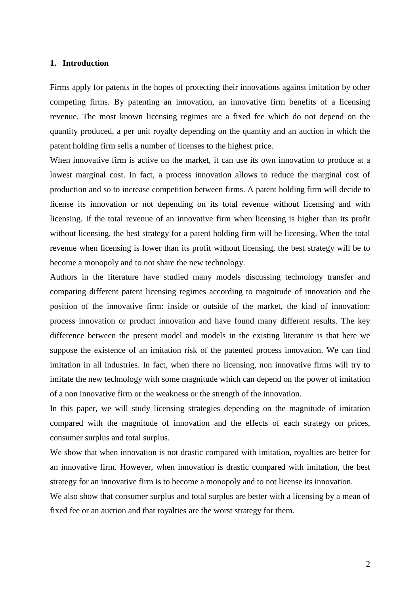#### **1. Introduction**

Firms apply for patents in the hopes of protecting their innovations against imitation by other competing firms. By patenting an innovation, an innovative firm benefits of a licensing revenue. The most known licensing regimes are a fixed fee which do not depend on the quantity produced, a per unit royalty depending on the quantity and an auction in which the patent holding firm sells a number of licenses to the highest price.

When innovative firm is active on the market, it can use its own innovation to produce at a lowest marginal cost. In fact, a process innovation allows to reduce the marginal cost of production and so to increase competition between firms. A patent holding firm will decide to license its innovation or not depending on its total revenue without licensing and with licensing. If the total revenue of an innovative firm when licensing is higher than its profit without licensing, the best strategy for a patent holding firm will be licensing. When the total revenue when licensing is lower than its profit without licensing, the best strategy will be to become a monopoly and to not share the new technology.

Authors in the literature have studied many models discussing technology transfer and comparing different patent licensing regimes according to magnitude of innovation and the position of the innovative firm: inside or outside of the market, the kind of innovation: process innovation or product innovation and have found many different results. The key difference between the present model and models in the existing literature is that here we suppose the existence of an imitation risk of the patented process innovation. We can find imitation in all industries. In fact, when there no licensing, non innovative firms will try to imitate the new technology with some magnitude which can depend on the power of imitation of a non innovative firm or the weakness or the strength of the innovation.

In this paper, we will study licensing strategies depending on the magnitude of imitation compared with the magnitude of innovation and the effects of each strategy on prices, consumer surplus and total surplus.

We show that when innovation is not drastic compared with imitation, royalties are better for an innovative firm. However, when innovation is drastic compared with imitation, the best strategy for an innovative firm is to become a monopoly and to not license its innovation.

We also show that consumer surplus and total surplus are better with a licensing by a mean of fixed fee or an auction and that royalties are the worst strategy for them.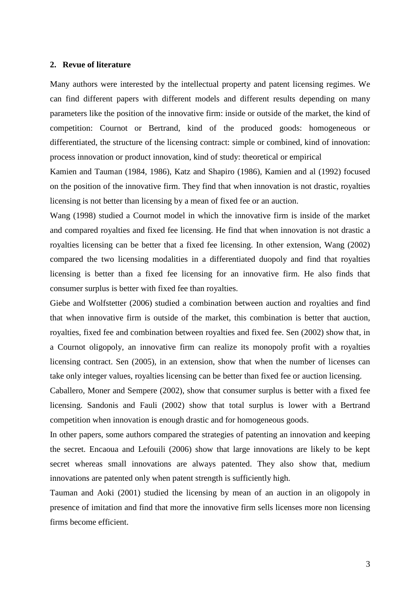#### **2. Revue of literature**

Many authors were interested by the intellectual property and patent licensing regimes. We can find different papers with different models and different results depending on many parameters like the position of the innovative firm: inside or outside of the market, the kind of competition: Cournot or Bertrand, kind of the produced goods: homogeneous or differentiated, the structure of the licensing contract: simple or combined, kind of innovation: process innovation or product innovation, kind of study: theoretical or empirical

Kamien and Tauman (1984, 1986), Katz and Shapiro (1986), Kamien and al (1992) focused on the position of the innovative firm. They find that when innovation is not drastic, royalties licensing is not better than licensing by a mean of fixed fee or an auction.

Wang (1998) studied a Cournot model in which the innovative firm is inside of the market and compared royalties and fixed fee licensing. He find that when innovation is not drastic a royalties licensing can be better that a fixed fee licensing. In other extension, Wang (2002) compared the two licensing modalities in a differentiated duopoly and find that royalties licensing is better than a fixed fee licensing for an innovative firm. He also finds that consumer surplus is better with fixed fee than royalties.

Giebe and Wolfstetter (2006) studied a combination between auction and royalties and find that when innovative firm is outside of the market, this combination is better that auction, royalties, fixed fee and combination between royalties and fixed fee. Sen (2002) show that, in a Cournot oligopoly, an innovative firm can realize its monopoly profit with a royalties licensing contract. Sen (2005), in an extension, show that when the number of licenses can take only integer values, royalties licensing can be better than fixed fee or auction licensing.

Caballero, Moner and Sempere (2002), show that consumer surplus is better with a fixed fee licensing. Sandonis and Fauli (2002) show that total surplus is lower with a Bertrand competition when innovation is enough drastic and for homogeneous goods.

In other papers, some authors compared the strategies of patenting an innovation and keeping the secret. Encaoua and Lefouili (2006) show that large innovations are likely to be kept secret whereas small innovations are always patented. They also show that, medium innovations are patented only when patent strength is sufficiently high.

Tauman and Aoki (2001) studied the licensing by mean of an auction in an oligopoly in presence of imitation and find that more the innovative firm sells licenses more non licensing firms become efficient.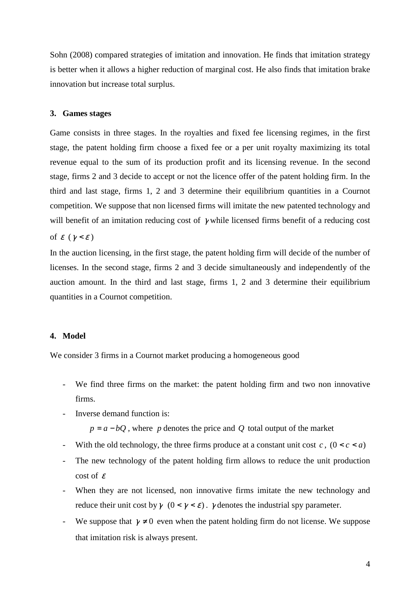Sohn (2008) compared strategies of imitation and innovation. He finds that imitation strategy is better when it allows a higher reduction of marginal cost. He also finds that imitation brake innovation but increase total surplus.

#### **3. Games stages**

Game consists in three stages. In the royalties and fixed fee licensing regimes, in the first stage, the patent holding firm choose a fixed fee or a per unit royalty maximizing its total revenue equal to the sum of its production profit and its licensing revenue. In the second stage, firms 2 and 3 decide to accept or not the licence offer of the patent holding firm. In the third and last stage, firms 1, 2 and 3 determine their equilibrium quantities in a Cournot competition. We suppose that non licensed firms will imitate the new patented technology and will benefit of an imitation reducing cost of  $\gamma$  while licensed firms benefit of a reducing cost of  $\varepsilon$  ( $\gamma < \varepsilon$ )

In the auction licensing, in the first stage, the patent holding firm will decide of the number of licenses. In the second stage, firms 2 and 3 decide simultaneously and independently of the auction amount. In the third and last stage, firms 1, 2 and 3 determine their equilibrium quantities in a Cournot competition.

#### **4. Model**

We consider 3 firms in a Cournot market producing a homogeneous good

- We find three firms on the market: the patent holding firm and two non innovative firms.
- Inverse demand function is:

 $p = a - bQ$ , where *p* denotes the price and *Q* total output of the market

- With the old technology, the three firms produce at a constant unit cost  $c$ ,  $(0 < c < a)$
- The new technology of the patent holding firm allows to reduce the unit production cost of  $\varepsilon$
- When they are not licensed, non innovative firms imitate the new technology and reduce their unit cost by  $\gamma$  ( $0 < \gamma < \varepsilon$ ).  $\gamma$  denotes the industrial spy parameter.
- We suppose that  $\gamma \neq 0$  even when the patent holding firm do not license. We suppose that imitation risk is always present.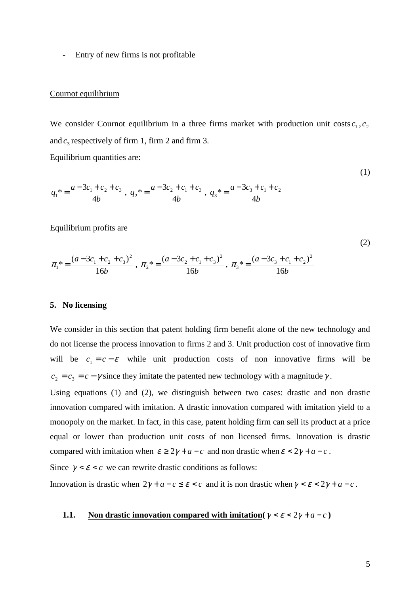Entry of new firms is not profitable

#### Cournot equilibrium

We consider Cournot equilibrium in a three firms market with production unit costs  $c_1$ ,  $c_2$ and  $c_3$  respectively of firm 1, firm 2 and firm 3.

Equilibrium quantities are:

$$
q_1^* = \frac{a - 3c_1 + c_2 + c_3}{4b}
$$
,  $q_2^* = \frac{a - 3c_2 + c_1 + c_3}{4b}$ ,  $q_3^* = \frac{a - 3c_3 + c_1 + c_2}{4b}$ 

Equilibrium profits are

$$
\pi_1^* = \frac{(a - 3c_1 + c_2 + c_3)^2}{16b}, \ \pi_2^* = \frac{(a - 3c_2 + c_1 + c_3)^2}{16b}, \ \pi_3^* = \frac{(a - 3c_3 + c_1 + c_2)^2}{16b}
$$

#### **5. No licensing**

We consider in this section that patent holding firm benefit alone of the new technology and do not license the process innovation to firms 2 and 3. Unit production cost of innovative firm will be  $c_1 = c - \varepsilon$  while unit production costs of non innovative firms will be  $c_2 = c_3 = c - \gamma$  since they imitate the patented new technology with a magnitude  $\gamma$ .

Using equations (1) and (2), we distinguish between two cases: drastic and non drastic innovation compared with imitation. A drastic innovation compared with imitation yield to a monopoly on the market. In fact, in this case, patent holding firm can sell its product at a price equal or lower than production unit costs of non licensed firms. Innovation is drastic compared with imitation when  $\varepsilon \geq 2\gamma + a - c$  and non drastic when  $\varepsilon < 2\gamma + a - c$ .

Since  $\gamma < \varepsilon < c$  we can rewrite drastic conditions as follows:

Innovation is drastic when  $2\gamma + a - c \leq \varepsilon < c$  and it is non drastic when  $\gamma < \varepsilon < 2\gamma + a - c$ .

#### **1.1. Non drastic innovation compared with imitation(** $\gamma < \varepsilon < 2\gamma + a - c$ )

(1)

(2)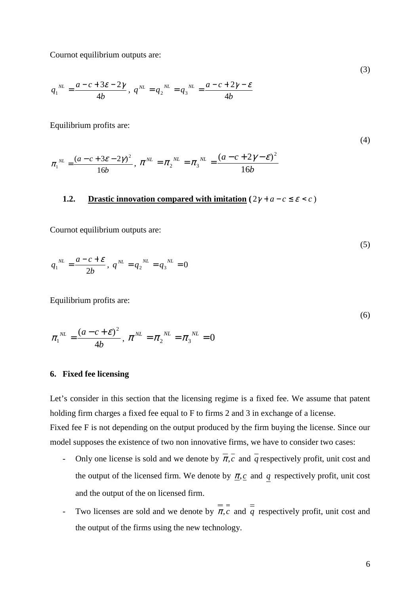Cournot equilibrium outputs are:

$$
q_1^{NL} = \frac{a - c + 3\varepsilon - 2\gamma}{4b}, \; q^{NL} = q_2^{NL} = q_3^{NL} = \frac{a - c + 2\gamma - \varepsilon}{4b}
$$

Equilibrium profits are:

(4)

(3)

$$
\pi_1^{NL} = \frac{(a-c+3\varepsilon-2\gamma)^2}{16b}, \ \pi^{NL} = \pi_2^{NL} = \pi_3^{NL} = \frac{(a-c+2\gamma-\varepsilon)^2}{16b}
$$

#### **1.2. Drastic innovation compared with imitation**  $(2\gamma + a - c \le \varepsilon < c)$

Cournot equilibrium outputs are:

$$
q_1^{\ N L} = \frac{a - c + \varepsilon}{2b}, \ q^{\ N L} = q_2^{\ N L} = q_3^{\ N L} = 0
$$

Equilibrium profits are:

$$
(6)
$$

 $(5)$ 

$$
\pi_1^{NL} = \frac{(a-c+\varepsilon)^2}{4b}, \ \pi^{NL} = \pi_2^{NL} = \pi_3^{NL} = 0
$$

#### **6. Fixed fee licensing**

Let's consider in this section that the licensing regime is a fixed fee. We assume that patent holding firm charges a fixed fee equal to F to firms 2 and 3 in exchange of a license. Fixed fee F is not depending on the output produced by the firm buying the license. Since our

model supposes the existence of two non innovative firms, we have to consider two cases:

- Only one license is sold and we denote by  $\overline{\pi}, \overline{c}$  and  $\overline{q}$  respectively profit, unit cost and the output of the licensed firm. We denote by  $\pi$ , c and q respectively profit, unit cost and the output of the on licensed firm.
- Two licenses are sold and we denote by  $\pi$ , *c* and  $\frac{1}{q}$  respectively profit, unit cost and the output of the firms using the new technology.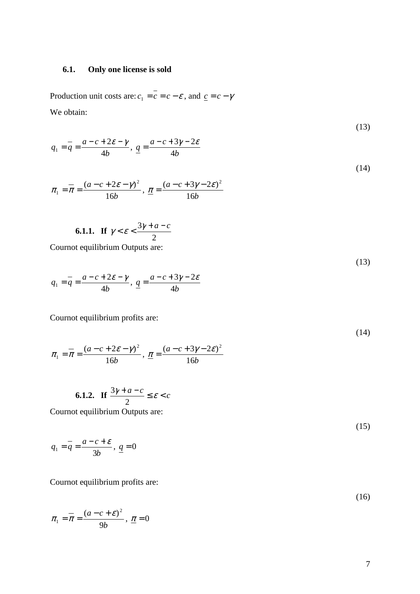#### **6.1. Only one license is sold**

Production unit costs are:  $c_1 = c = c - \varepsilon$ , and  $c_1 = c - \gamma$ We obtain:

$$
q_1 = \overline{q} = \frac{a - c + 2\varepsilon - \gamma}{4b}, \quad \underline{q} = \frac{a - c + 3\gamma - 2\varepsilon}{4b}
$$
\n
$$
\tag{14}
$$

$$
\pi_1 = \overline{\pi} = \frac{(a - c + 2\varepsilon - \gamma)^2}{16b}, \ \underline{\pi} = \frac{(a - c + 3\gamma - 2\varepsilon)^2}{16b}
$$

**6.1.1.** If 
$$
\gamma < \varepsilon < \frac{3\gamma + a - c}{2}
$$

Cournot equilibrium Outputs are:

$$
q_1 = \frac{a - c + 2\varepsilon - \gamma}{4b}, \quad \frac{a - c + 3\gamma - 2\varepsilon}{4b}
$$

Cournot equilibrium profits are:

$$
\pi_1 = \pi = \frac{(a - c + 2\varepsilon - \gamma)^2}{16b}, \ \underline{\pi} = \frac{(a - c + 3\gamma - 2\varepsilon)^2}{16b}
$$

$$
\textbf{6.1.2.} \quad \textbf{If } \frac{3\gamma + a - c}{2} \le \varepsilon < c
$$

Cournot equilibrium Outputs are:

$$
q_1 = \overline{q} = \frac{a - c + \varepsilon}{3b}, \quad \underline{q} = 0
$$

Cournot equilibrium profits are:

$$
(16)
$$

$$
\pi_1 = \overline{\pi} = \frac{(a-c+\varepsilon)^2}{9b}, \ \underline{\pi} = 0
$$

(13)

(13)

(14)

(15)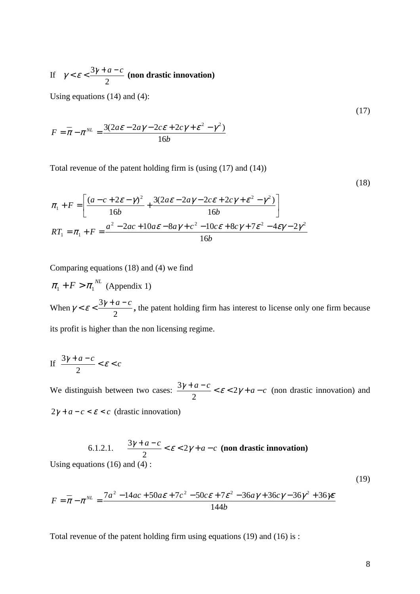If 2  $\gamma < \varepsilon < \frac{3\gamma + a - c}{2}$  (non drastic innovation)

Using equations (14) and (4):

$$
F = \overline{\pi} - \pi^{NL} = \frac{3(2a\epsilon - 2a\gamma - 2c\epsilon + 2c\gamma + \epsilon^2 - \gamma^2)}{16b}
$$

Total revenue of the patent holding firm is (using (17) and (14))

(18)

(17)

$$
\pi_1 + F = \left[ \frac{(a - c + 2\varepsilon - \gamma)^2}{16b} + \frac{3(2a\varepsilon - 2a\gamma - 2c\varepsilon + 2c\gamma + \varepsilon^2 - \gamma^2)}{16b} \right]
$$
  

$$
RT_1 = \pi_1 + F = \frac{a^2 - 2ac + 10a\varepsilon - 8a\gamma + c^2 - 10c\varepsilon + 8c\gamma + 7\varepsilon^2 - 4\varepsilon\gamma - 2\gamma^2}{16b}
$$

Comparing equations (18) and (4) we find

 $\pi_1 + F > \pi_1^{NL}$  (Appendix 1) When 2  $\gamma < \varepsilon < \frac{3\gamma + a - c}{2}$ , the patent holding firm has interest to license only one firm because its profit is higher than the non licensing regime.

$$
\text{If } \frac{3\gamma + a - c}{2} < \varepsilon < c
$$

We distinguish between two cases:  $\frac{3\gamma + a - c}{2} < \varepsilon < 2\gamma + a - c$ 2  $\frac{3\gamma + a - c}{2\gamma + a - c} < \varepsilon < 2\gamma + a - c$  (non drastic innovation) and  $2\gamma + a - c < \varepsilon < c$  (drastic innovation)

6.1.2.1. 
$$
\frac{3\gamma + a - c}{2} < \varepsilon < 2\gamma + a - c
$$
 (non drastic innovation)  
Using equations (16) and (4):

$$
F = \overline{\pi} - \pi^{NL} = \frac{7a^2 - 14ac + 50a\epsilon + 7c^2 - 50c\epsilon + 7\epsilon^2 - 36a\gamma + 36c\gamma - 36\gamma^2 + 36\gamma\epsilon}{144b}
$$

Total revenue of the patent holding firm using equations (19) and (16) is :

(19)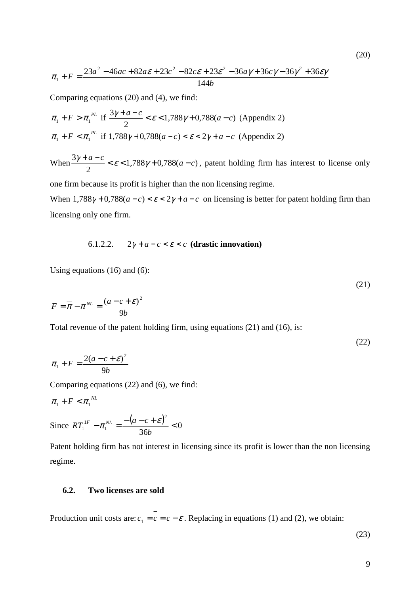$$
\pi_1 + F = \frac{23a^2 - 46ac + 82a\varepsilon + 23c^2 - 82c\varepsilon + 23\varepsilon^2 - 36a\gamma + 36c\gamma - 36\gamma^2 + 36\varepsilon\gamma}{144b}
$$

Comparing equations (20) and (4), we find:

$$
\pi_1 + F > \pi_1^{PL} \text{ if } \frac{3\gamma + a - c}{2} < \varepsilon < 1,788\gamma + 0,788(a - c) \text{ (Appendix 2)}
$$
\n
$$
\pi_1 + F < \pi_1^{PL} \text{ if } 1,788\gamma + 0,788(a - c) < \varepsilon < 2\gamma + a - c \text{ (Appendix 2)}
$$

When  $\frac{37 + a}{2} < \varepsilon < 1,788 \gamma + 0,788(a - c)$ 2  $\frac{3\gamma + a - c}{2} < \varepsilon < 1,788\gamma + 0,788(a - c)$ , patent holding firm has interest to license only

one firm because its profit is higher than the non licensing regime.

When  $1,788\gamma + 0,788(a-c) < \varepsilon < 2\gamma + a - c$  on licensing is better for patent holding firm than licensing only one firm.

#### 6.1.2.2.  $2\gamma + a - c < \varepsilon < c$  (drastic innovation)

Using equations (16) and (6):

$$
F = \overline{\pi} - \pi^{NL} = \frac{(a - c + \varepsilon)^2}{9b}
$$

Total revenue of the patent holding firm, using equations (21) and (16), is:

$$
\pi_1 + F = \frac{2(a - c + \varepsilon)^2}{9b}
$$

Comparing equations (22) and (6), we find:

$$
\pi_1 + F < \pi_1^{\,NL}
$$

Since 
$$
RT_1^{1F} - \pi_1^{NL} = \frac{-(a-c+\varepsilon)^2}{36b} < 0
$$

Patent holding firm has not interest in licensing since its profit is lower than the non licensing regime.

#### **6.2. Two licenses are sold**

Production unit costs are:  $c_1 = c = c - \varepsilon$ . Replacing in equations (1) and (2), we obtain:

(23)

(20)

(21)

(22)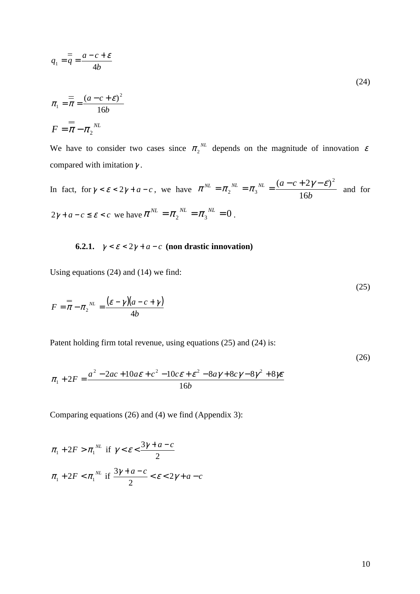$$
q_1 = \frac{a - c + \varepsilon}{4b}
$$

$$
\pi_1 = \frac{1}{\pi} = \frac{(a - c + \varepsilon)^2}{16b}
$$

$$
F = \frac{1}{\pi} - \pi_2^{NL}
$$

We have to consider two cases since  $\pi_2^{NL}$  depends on the magnitude of innovation  $\varepsilon$ compared with imitation  $\gamma$ .

In fact, for  $\gamma < \varepsilon < 2\gamma + a - c$ , we have *b*  $\delta N_L$  *a*  $\delta N_L$  *a*  $\delta N_L$  *a*  $\delta M$  *a*  $\delta T$ 16  $(a-c+2\gamma-\varepsilon)^2$ 2  $-\frac{1}{3}$  $\pi^{NL} = \pi_{\alpha}^{NL} = \pi_{\alpha}^{NL} = \frac{(a-c+2\gamma-\varepsilon)}{2\pi}$  $=\pi_2^{N_L}=\pi_3^{N_L}=\frac{(a^2-(b^2-2))^{N_L}}{16L}$  and for  $2\gamma + a - c \le \varepsilon < c$  we have  $\pi^{NL} = \pi_2^{NL} = \pi_3^{NL} = 0$ .

**6.2.1.**  $\gamma < \varepsilon < 2\gamma + a - c$  (non drastic innovation)

Using equations (24) and (14) we find:

$$
F = \frac{1}{\pi} - \pi_2^{\ N L} = \frac{(\varepsilon - \gamma)(a - c + \gamma)}{4b}
$$

Patent holding firm total revenue, using equations (25) and (24) is:

$$
\pi_1 + 2F = \frac{a^2 - 2ac + 10a\varepsilon + c^2 - 10c\varepsilon + \varepsilon^2 - 8a\gamma + 8c\gamma - 8\gamma^2 + 8\gamma\varepsilon}{16b}
$$

Comparing equations (26) and (4) we find (Appendix 3):

$$
\pi_1 + 2F > \pi_1^{NL} \text{ if } \gamma < \varepsilon < \frac{3\gamma + a - c}{2}
$$
  

$$
\pi_1 + 2F < \pi_1^{NL} \text{ if } \frac{3\gamma + a - c}{2} < \varepsilon < 2\gamma + a - c
$$

(24)

(25)

(26)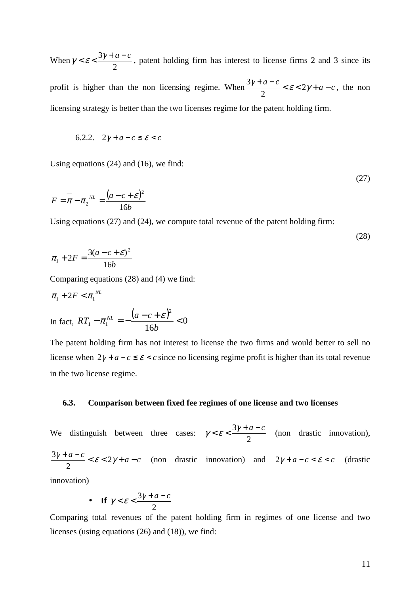When 2  $\gamma < \varepsilon < \frac{3\gamma + a - c}{2}$ , patent holding firm has interest to license firms 2 and 3 since its profit is higher than the non licensing regime. When  $\frac{3\gamma + a - c}{2} < \varepsilon < 2\gamma + a - c$ 2  $\frac{3\gamma + a - c}{2} < \varepsilon < 2\gamma + a - c$ , the non licensing strategy is better than the two licenses regime for the patent holding firm.

$$
6.2.2. \quad 2\gamma + a - c \le \varepsilon < c
$$

Using equations (24) and (16), we find:

$$
F = \frac{a}{\pi} - \pi_2^{\ N} = \frac{(a - c + \varepsilon)^2}{16b}
$$

Using equations (27) and (24), we compute total revenue of the patent holding firm:

$$
\pi_1 + 2F = \frac{3(a-c+\varepsilon)^2}{16b}
$$

Comparing equations (28) and (4) we find:

$$
\pi_1 + 2F < \pi_1^{NL}
$$
\nIn fact, 

\n
$$
RT_1 - \pi_1^{NL} = -\frac{(a - c + \varepsilon)^2}{16b} < 0
$$

The patent holding firm has not interest to license the two firms and would better to sell no license when  $2\gamma + a - c \le \varepsilon < c$  since no licensing regime profit is higher than its total revenue in the two license regime.

#### **6.3. Comparison between fixed fee regimes of one license and two licenses**

We distinguish between three cases: 2  $\gamma < \varepsilon < \frac{3\gamma + a - c}{2}$  (non drastic innovation),  $\frac{\gamma + a - c}{2} < \varepsilon < 2\gamma + a - c$ 2  $\frac{3\gamma + a - c}{2} < \varepsilon < 2\gamma + a - c$  (non drastic innovation) and  $2\gamma + a - c < \varepsilon < c$  (drastic innovation)

• If 
$$
\gamma < \varepsilon < \frac{3\gamma + a - c}{2}
$$

Comparing total revenues of the patent holding firm in regimes of one license and two licenses (using equations (26) and (18)), we find:

(27)

(28)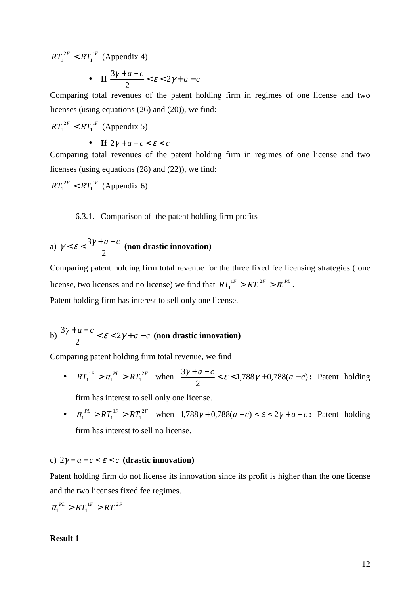$RT_1^{2F} < RT_1^{1F}$  $T_1^{2F} < RT_1^{1F}$  (Appendix 4)

• If 
$$
\frac{3\gamma+a-c}{2} < \varepsilon < 2\gamma+a-c
$$

Comparing total revenues of the patent holding firm in regimes of one license and two licenses (using equations (26) and (20)), we find:

 $RT_1^{2F} < RT_1^{1F}$  $T_1^{2F} < RT_1^{1F}$  (Appendix 5)

• **If**  $2\gamma + a - c < \varepsilon < c$ 

Comparing total revenues of the patent holding firm in regimes of one license and two licenses (using equations (28) and (22)), we find:

$$
RT_1^{2F} < RT_1^{1F} \text{ (Appendix 6)}
$$

6.3.1. Comparison of the patent holding firm profits

a) 
$$
\gamma < \varepsilon < \frac{3\gamma + a - c}{2}
$$
 (non drastic innovation)

Comparing patent holding firm total revenue for the three fixed fee licensing strategies ( one license, two licenses and no license) we find that  $RT_1^1 > RT_1^{2F} > \pi_1^{PL}$ 1  $T_1^{1F} > RT_1^{2F} > \pi_1^{PL}$ . Patent holding firm has interest to sell only one license.

#### b)  $\frac{3\gamma + a - c}{2} < \varepsilon < 2\gamma + a - c$ 2  $\frac{3\gamma + a - c}{2} < \varepsilon < 2\gamma + a - c$  (non drastic innovation)

Comparing patent holding firm total revenue, we find

•  $RT_1^{1F} > \pi_1^{PL} > RT_1^{2F}$  $T_1^{1F} > \pi_1^{PL} > RT_1^{2F}$  when  $\frac{3\gamma + a - c}{2} < \varepsilon < 1,788\gamma + 0,788(a - c)$  $\frac{3\gamma + a - c}{2} < \varepsilon < 1,788\gamma + 0,788(a - c)$ : Patent holding

firm has interest to sell only one license.

•  $\pi_1^{PL} > RT_1^{1F} > RT_1^{2F}$  $\pi_1^{PL} > RT_1^{1F} > RT_1^{2F}$  when  $1,788\gamma + 0,788(a-c) < \varepsilon < 2\gamma + a - c$ : Patent holding firm has interest to sell no license.

#### c)  $2\gamma + a - c < \varepsilon < c$  (drastic innovation)

Patent holding firm do not license its innovation since its profit is higher than the one license and the two licenses fixed fee regimes.

$$
\pi_1^{PL} > RT_1^{1F} > RT_1^{2F}
$$

#### **Result 1**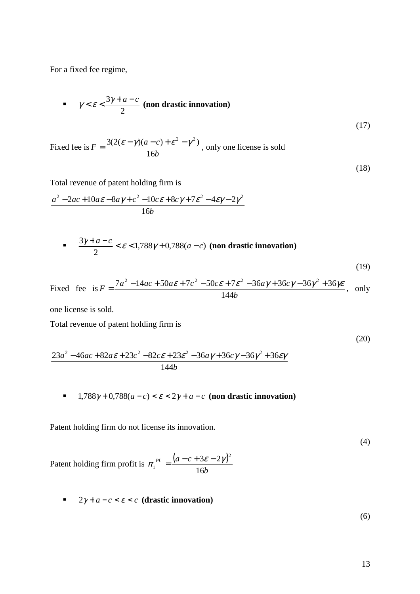For a fixed fee regime,

$$
\gamma < \varepsilon < \frac{3\gamma + a - c}{2} \text{ (non drastic innovation)}
$$
\n
$$
\tag{17}
$$

Fixed fee is *b*  $F = \frac{3(2(\varepsilon - \gamma)(a - c))}{\varepsilon^2}$ 16  $= \frac{3(2(\varepsilon - \gamma)(a - c) + \varepsilon^2 - \gamma^2)}{4\pi\sigma^2}$ , only one license is sold

(18)

Total revenue of patent holding firm is

$$
\frac{a^2 - 2ac + 10a\varepsilon - 8a\gamma + c^2 - 10c\varepsilon + 8c\gamma + 7\varepsilon^2 - 4\varepsilon\gamma - 2\gamma^2}{16b}
$$

$$
\frac{3\gamma + a - c}{2} < \varepsilon < 1,788\gamma + 0,788(a - c) \text{ (non drastic innovation)}
$$
\n
$$
\tag{19}
$$

Fixed fee is 
$$
F = \frac{7a^2 - 14ac + 50a\epsilon + 7c^2 - 50c\epsilon + 7\epsilon^2 - 36a\gamma + 36c\gamma - 36\gamma^2 + 36\gamma\epsilon}{144b}
$$
, only

one license is sold.

Total revenue of patent holding firm is

(20)

$$
\frac{23a^2 - 46ac + 82a\varepsilon + 23c^2 - 82c\varepsilon + 23\varepsilon^2 - 36a\gamma + 36c\gamma - 36\gamma^2 + 36\varepsilon\gamma}{144b}
$$

 $\bullet$  1,788γ + 0,788(*a* − *c*) < *ε* < 2γ + *a* − *c* (non drastic innovation)

Patent holding firm do not license its innovation.

(4)

Patent holding firm profit is  $\pi_1^{PL} = \frac{(a-c+3\varepsilon-2\gamma)^2}{2\sigma^2}$ *b PL*  $(a-c)$ 16  $3\varepsilon - 2\gamma$ <sup>2</sup> 1  $\pi_1^{PL} = \frac{(a-c+3\varepsilon-2\gamma)}{15}$ 

 $2γ + a - c < ε < c$  (drastic innovation)

(6)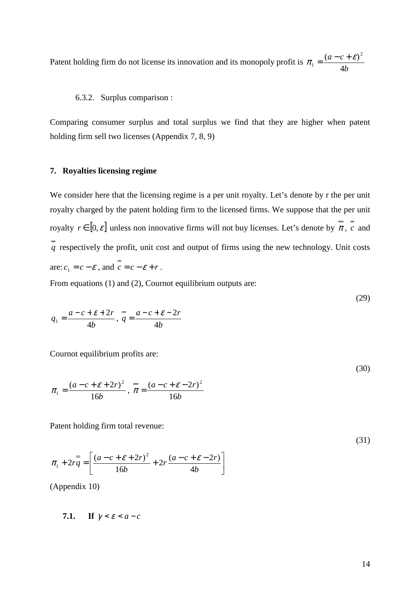Patent holding firm do not license its innovation and its monopoly profit is *b*  $a - c$ 4  $(a-c+\varepsilon)^2$ 1  $\pi_1 = \frac{(a-c+\varepsilon)}{n}$ 

#### 6.3.2. Surplus comparison :

Comparing consumer surplus and total surplus we find that they are higher when patent holding firm sell two licenses (Appendix 7, 8, 9)

#### **7. Royalties licensing regime**

We consider here that the licensing regime is a per unit royalty. Let's denote by r the per unit royalty charged by the patent holding firm to the licensed firms. We suppose that the per unit royalty  $r \in [0, \varepsilon]$  unless non innovative firms will not buy licenses. Let's denote by  $\overline{\pi}$ ,  $\overline{c}$  and  $\frac{a}{q}$  respectively the profit, unit cost and output of firms using the new technology. Unit costs are:  $c_1 = c - \varepsilon$ , and  $c = c - \varepsilon + r$ .

From equations (1) and (2), Cournot equilibrium outputs are:

$$
a - c + \varepsilon + 2r = a - c + \varepsilon - 2r
$$
 (29)

$$
q_1 = \frac{a - c + z + 2i}{4b}, \ q = \frac{a - c + z - 2i}{4b}
$$

Cournot equilibrium profits are:

$$
\pi_1 = \frac{(a - c + \varepsilon + 2r)^2}{16b}, \quad \pi = \frac{(a - c + \varepsilon - 2r)^2}{16b}
$$

Patent holding firm total revenue:

*b*

16

$$
\pi_1 + 2rq = \left[ \frac{(a - c + \varepsilon + 2r)^2}{4\sigma^2} + 2r \frac{(a - c + \varepsilon - 2r)}{(a - c + \varepsilon)} \right]
$$
\n(31)

*b*

4

 $\overline{\phantom{a}}$  $\rfloor$ 

(Appendix 10)

1

7.1. If 
$$
\gamma < \varepsilon < a - c
$$

 $\mathbf{r}$ L (30)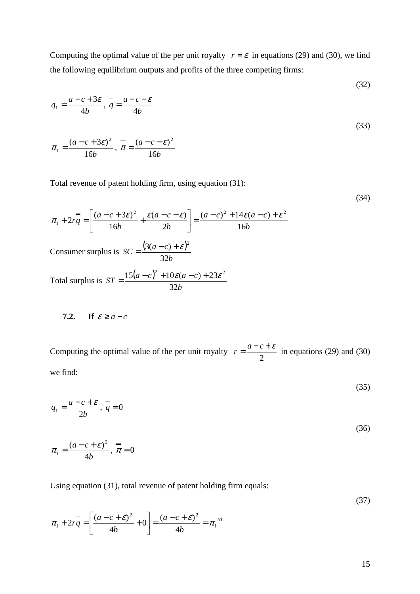Computing the optimal value of the per unit royalty  $r = \varepsilon$  in equations (29) and (30), we find the following equilibrium outputs and profits of the three competing firms:

$$
q_1 = \frac{a - c + 3\varepsilon}{4b}, \quad \frac{a}{q} = \frac{a - c - \varepsilon}{4b}
$$
  

$$
\pi_1 = \frac{(a - c + 3\varepsilon)^2}{16b}, \quad \frac{a}{r} = \frac{(a - c - \varepsilon)^2}{16b}
$$
 (33)

Total revenue of patent holding firm, using equation (31):

(34)

(32)

$$
\pi_1 + 2r\overline{q} = \left[ \frac{(a-c+3\varepsilon)^2}{16b} + \frac{\varepsilon(a-c-\varepsilon)}{2b} \right] = \frac{(a-c)^2 + 14\varepsilon(a-c) + \varepsilon^2}{16b}
$$
  
Consumer surplus is  $SC = \frac{(3(a-c) + \varepsilon)^2}{32b}$   
Total surplus is  $ST = \frac{15(a-c)^2 + 10\varepsilon(a-c) + 23\varepsilon^2}{32b}$ 

7.2. If 
$$
\varepsilon \ge a - c
$$

Computing the optimal value of the per unit royalty 2  $r = \frac{a-c+\mathcal{E}}{2}$  in equations (29) and (30) we find:

(35)

$$
q_1 = \frac{a - c + \varepsilon}{2b}, \quad \overline{q} = 0 \tag{36}
$$

$$
\pi_1 = \frac{(a-c+\varepsilon)^2}{4b}, \ \overline{\pi} = 0
$$

Using equation (31), total revenue of patent holding firm equals:

(37) *NL b*  $a - c$ *b*  $\sigma q = \left| \frac{(a-c+\varepsilon)^2}{4L} + 0 \right| = \frac{(a-c+\varepsilon)^2}{4L} = \pi$ 2  $(a \cdot a \cdot c)^2$  $\begin{vmatrix} 1 & 2 & q \\ 4 & 4 & q \end{vmatrix}$  4  $0 = \frac{(a-c+\varepsilon)}{n}$ 4  $\pi_1 + 2r\bar{q} = \left| \frac{(a-c+\mathcal{E})^2}{4l} + 0 \right| = \frac{(a-c+\mathcal{E})^2}{4l} = \pi$ 」 1  $\mathbf{r}$ L Γ  $+2rq = \left(\frac{(a-c+\varepsilon)^2}{\sigma}\right)^2 +$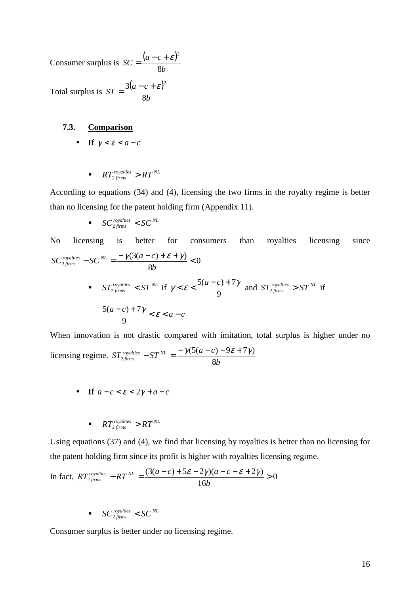Consumer surplus is  $SC = \frac{(a-c+\varepsilon)^2}{C}$ *b*  $\Delta C = \frac{(a-c)}{2}$ 8  $=\frac{(a-c+\varepsilon)^2}{2}$ 

Total surplus is  $ST = \frac{3(a-c+\varepsilon)}{2}$ *b*  $ST = \frac{3(a-c)}{a}$ 8  $=\frac{3(a-c+\varepsilon)^2}{2}$ 

#### **7.3. Comparison**

- **If**  $\gamma < \varepsilon < a c$ 
	- *r RT*<sub>2 *firms*  $> RT^{NL}$ </sub>

According to equations (34) and (4), licensing the two firms in the royalty regime is better than no licensing for the patent holding firm (Appendix 11).

$$
\bullet \quad SC_{2\, firms}^{royalties} < SC_{2\,flux}
$$

No licensing is better for consumers than royalties licensing since 0 8  $\sum_{2 \text{ firms}}^{royalities} - SC^{NL} = \frac{-\gamma(3(a-c) + \varepsilon + \gamma)}{2b}$ *b*  $SC_{2, firms}^{royalties} - SC_{NL} = \frac{-\gamma(3(a-c))}{2(a-c)}$  $\gamma$ (3(a – c) +  $\varepsilon$  +  $\gamma$ *since ST royalties*  $\lt$  *ST*<sup>*NL*</sup> if  $\gamma \lt \varepsilon \lt \frac{3(a-c)}{9}$  $\gamma < \varepsilon < \frac{5(a-c)+7\gamma}{2}$  and  $ST_{2, \text{times}}^{rovalties} > ST^{NL}$  if  $\frac{a-c+7\gamma}{2} < \varepsilon < a-c$ 9  $5(a - c) + 7$ 

When innovation is not drastic compared with imitation, total surplus is higher under no licensing regime. *b*  $\int \frac{dS T}{2 \text{ firms}}$   $\int \frac{dS T}{dS T} dS T = \frac{-\gamma (5(a-c))}{2 \cdot 2 \cdot 2 \cdot 3}$  $f_{\text{irms}}$  51  $(5(a-c)-9\varepsilon+7\gamma)$ 2  $-ST^{NL} = \frac{-\gamma(5(a-c)-9\varepsilon+7\gamma)}{2!}$ 

• **If**  $a - c < \epsilon < 2\gamma + a - c$ 

$$
\blacksquare \quad RT_{2 \text{ firms}}^{\text{royalites}} > RT^{\text{NL}}
$$

Using equations (37) and (4), we find that licensing by royalties is better than no licensing for the patent holding firm since its profit is higher with royalties licensing regime.

In fact, 
$$
RT_{2 \text{ firms}}^{\text{rovalities}} - RT^{\text{ NL}} = \frac{(3(a-c) + 5\varepsilon - 2\gamma)(a-c - \varepsilon + 2\gamma)}{16b} > 0
$$

 $\blacksquare$   $SC_{2 \, firms}^{royalties} < SC_{2 \, firms}^{NL}$ 

Consumer surplus is better under no licensing regime.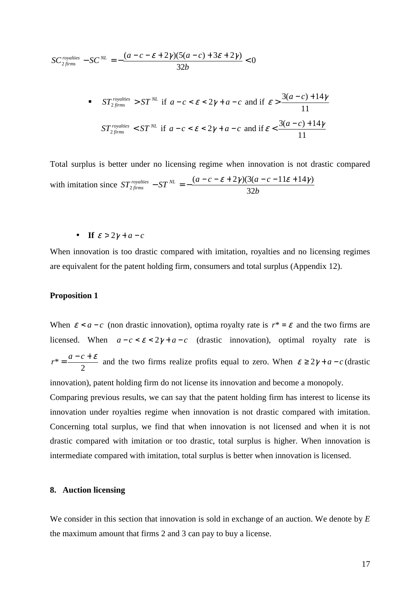$$
SC_{2, firms}^{covalties} - SC^{NL} = -\frac{(a-c-\varepsilon+2\gamma)(5(a-c)+3\varepsilon+2\gamma)}{32b} < 0
$$
  
\n• 
$$
ST_{2, firms}^{roydities} > ST^{NL} \text{ if } a-c < \varepsilon < 2\gamma + a - c \text{ and if } \varepsilon > \frac{3(a-c)+14\gamma}{11}
$$
  
\n
$$
ST_{2, firms}^{roydities} < ST^{NL} \text{ if } a-c < \varepsilon < 2\gamma + a - c \text{ and if } \varepsilon < \frac{3(a-c)+14\gamma}{11}
$$

Total surplus is better under no licensing regime when innovation is not drastic compared with imitation since *b*  $\delta T_{2, \text{ firms}}^{\text{rovalities}} - \delta T^{\text{NL}} = -\frac{(a-c-\varepsilon+2\gamma)(3(a-c)}{2\delta T}$  $\frac{51}{ }$   $-$  32  $(a-c-\varepsilon+2\gamma)(3(a-c-11\varepsilon+14\gamma))$ 2  $-T^{NL} = -\frac{(a-c-\varepsilon+2\gamma)(3(a-c-11\varepsilon+14\gamma))}{2(3\varepsilon+16\varepsilon+14\varepsilon)}$ 

• **If**  $\varepsilon > 2\gamma + a - c$ 

When innovation is too drastic compared with imitation, royalties and no licensing regimes are equivalent for the patent holding firm, consumers and total surplus (Appendix 12).

#### **Proposition 1**

When  $\varepsilon < a - c$  (non drastic innovation), optima royalty rate is  $r^* = \varepsilon$  and the two firms are licensed. When  $a - c < \varepsilon < 2\gamma + a - c$  (drastic innovation), optimal royalty rate is 2  $r^* = \frac{a-c+\varepsilon}{2}$  and the two firms realize profits equal to zero. When  $\varepsilon \geq 2\gamma + a - c$  (drastic innovation), patent holding firm do not license its innovation and become a monopoly.

Comparing previous results, we can say that the patent holding firm has interest to license its innovation under royalties regime when innovation is not drastic compared with imitation. Concerning total surplus, we find that when innovation is not licensed and when it is not drastic compared with imitation or too drastic, total surplus is higher. When innovation is intermediate compared with imitation, total surplus is better when innovation is licensed.

#### **8. Auction licensing**

We consider in this section that innovation is sold in exchange of an auction. We denote by *E* the maximum amount that firms 2 and 3 can pay to buy a license.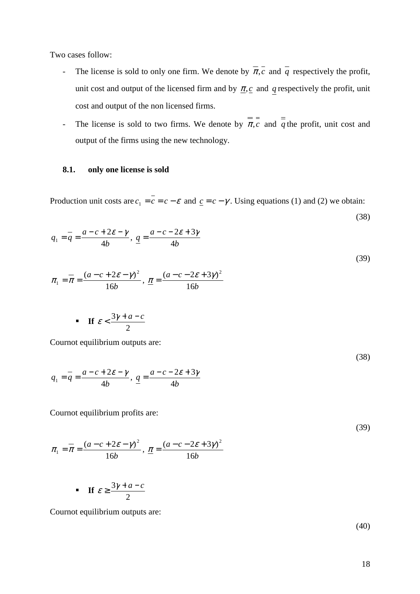Two cases follow:

- The license is sold to only one firm. We denote by  $\overline{\pi}, \overline{c}$  and  $\overline{q}$  respectively the profit, unit cost and output of the licensed firm and by  $\pi$ ,  $c$  and  $q$  respectively the profit, unit cost and output of the non licensed firms.
- The license is sold to two firms. We denote by  $\pi$ , *c* and  $\frac{1}{q}$  the profit, unit cost and output of the firms using the new technology.

#### **8.1. only one license is sold**

Production unit costs are  $c_1 = c = c - \varepsilon$  and  $c = c - \gamma$ . Using equations (1) and (2) we obtain:

$$
q_1 = \frac{a - c + 2\varepsilon - \gamma}{4b}, \quad \frac{a}{2} = \frac{a - c - 2\varepsilon + 3\gamma}{4b}
$$
  

$$
\pi_1 = \frac{a - c + 2\varepsilon - \gamma^2}{16b}, \quad \frac{\pi}{2} = \frac{(a - c - 2\varepsilon + 3\gamma)^2}{16b}
$$
 (39)

• If 
$$
\varepsilon < \frac{3\gamma + a - c}{2}
$$

Cournot equilibrium outputs are:

$$
q_1 = \overline{q} = \frac{a - c + 2\varepsilon - \gamma}{4b}, \quad \underline{q} = \frac{a - c - 2\varepsilon + 3\gamma}{4b}
$$

Cournot equilibrium profits are:

$$
\pi_1 = \overline{\pi} = \frac{(a - c + 2\varepsilon - \gamma)^2}{16b}, \quad \underline{\pi} = \frac{(a - c - 2\varepsilon + 3\gamma)^2}{16b}
$$
\n(39)

• If 
$$
\varepsilon \ge \frac{3\gamma + a - c}{2}
$$

Cournot equilibrium outputs are:

(40)

(38)

(38)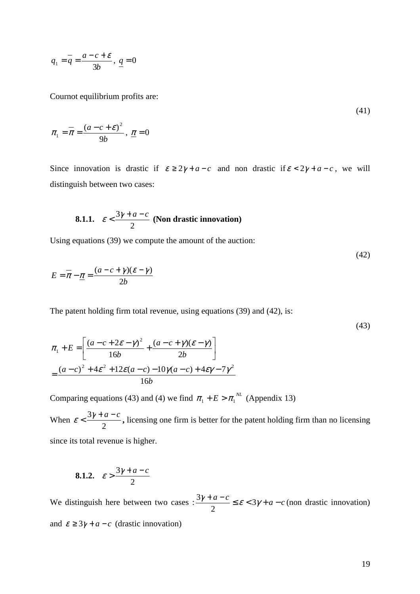$$
q_1 = \overline{q} = \frac{a - c + \varepsilon}{3b}, \quad \underline{q} = 0
$$

Cournot equilibrium profits are:

$$
(41)
$$

$$
\pi_1 = \overline{\pi} = \frac{(a - c + \varepsilon)^2}{9b}, \ \underline{\pi} = 0
$$

Since innovation is drastic if  $\varepsilon \geq 2\gamma + a - c$  and non drastic if  $\varepsilon < 2\gamma + a - c$ , we will distinguish between two cases:

8.1.1. 
$$
\varepsilon < \frac{3\gamma + a - c}{2}
$$
 (Non drastic innovation)

Using equations (39) we compute the amount of the auction:

$$
E = \overline{\pi} - \underline{\pi} = \frac{(a - c + \gamma)(\varepsilon - \gamma)}{2b}
$$

The patent holding firm total revenue, using equations (39) and (42), is:

$$
(43)
$$

(42)

$$
\pi_1 + E = \left[ \frac{(a - c + 2\varepsilon - \gamma)^2}{16b} + \frac{(a - c + \gamma)(\varepsilon - \gamma)}{2b} \right]
$$

$$
= \frac{(a - c)^2 + 4\varepsilon^2 + 12\varepsilon(a - c) - 10\gamma(a - c) + 4\varepsilon\gamma - 7\gamma^2}{16b}
$$

Comparing equations (43) and (4) we find  $\pi_1 + E > \pi_1^{NL}$  (Appendix 13)

When 2  $\epsilon < \frac{3\gamma + a - c}{2}$ , licensing one firm is better for the patent holding firm than no licensing since its total revenue is higher.

$$
8.1.2. \quad \varepsilon > \frac{3\gamma + a - c}{2}
$$

We distinguish here between two cases :  $\frac{3\gamma + a - c}{2} \le \varepsilon < 3\gamma + a - c$ 2  $\frac{3\gamma + a - c}{2} \le \varepsilon < 3\gamma + a - c$  (non drastic innovation) and  $\varepsilon \geq 3\gamma + a - c$  (drastic innovation)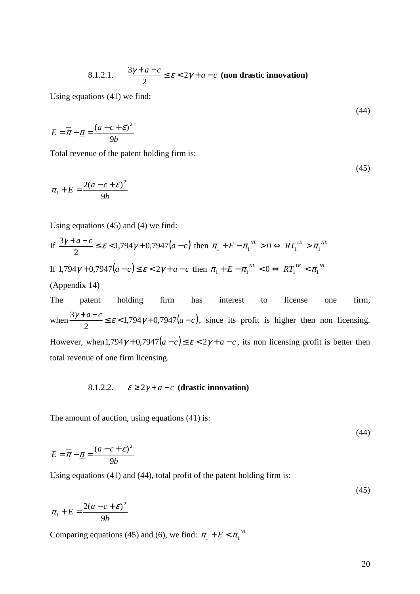8.1.2.1. 
$$
\frac{3\gamma + a - c}{2} \le \varepsilon < 2\gamma + a - c
$$
 (non drastic innovation)

Using equations (41) we find:

$$
(44)
$$

$$
E = \overline{\pi} - \underline{\pi} = \frac{(a - c + \varepsilon)^2}{9b}
$$

Total revenue of the patent holding firm is:

$$
(45)
$$

$$
\pi_1 + E = \frac{2(a-c+\varepsilon)^2}{9b}
$$

Using equations (45) and (4) we find:

If 
$$
\frac{3\gamma + a - c}{2} \le \varepsilon < 1,794\gamma + 0,7947(a - c)
$$
 then  $\pi_1 + E - \pi_1^{NL} > 0 \Leftrightarrow RT_1^{LE} > \pi_1^{NL}$   
If  $1,794\gamma + 0,7947(a - c) \le \varepsilon < 2\gamma + a - c$  then  $\pi_1 + E - \pi_1^{NL} < 0 \Leftrightarrow RT_1^{LE} < \pi_1^{NL}$ 

(Appendix 14)

The patent holding firm has interest to license one firm, when  $\frac{3\gamma + a - c}{2} \le \varepsilon < 1,794\gamma + 0,7947(a - c)$ 2  $\frac{3\gamma + a - c}{2} \le \varepsilon < 1.794\gamma + 0.7947(a - c)$ , since its profit is higher then non licensing. However, when  $1, 794\gamma + 0, 7947(a - c) \le \varepsilon < 2\gamma + a - c$ , its non licensing profit is better then total revenue of one firm licensing.

8.1.2.2.  $\varepsilon \geq 2\gamma + a - c$  (drastic innovation)

The amount of auction, using equations (41) is:

(44)

(45)

$$
E = \overline{\pi} - \underline{\pi} = \frac{(a - c + \varepsilon)^2}{9b}
$$

Using equations (41) and (44), total profit of the patent holding firm is:

$$
\pi_1 + E = \frac{2(a - c + \varepsilon)^2}{9b}
$$

Comparing equations (45) and (6), we find:  $\pi_1 + E < \pi_1^{NL}$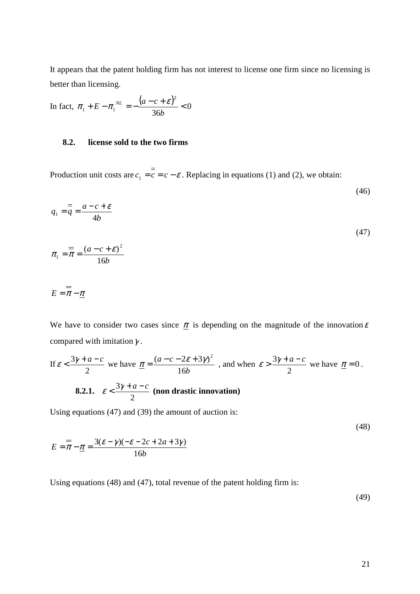It appears that the patent holding firm has not interest to license one firm since no licensing is better than licensing.

In fact, 
$$
\pi_1 + E - \pi_1^{NL} = -\frac{(a - c + \varepsilon)^2}{36b} < 0
$$

#### **8.2. license sold to the two firms**

Production unit costs are  $c_1 = c = c - \varepsilon$ . Replacing in equations (1) and (2), we obtain:

$$
q_1 = \frac{a - c + \varepsilon}{4b}
$$

$$
\pi_1 = \frac{a}{\pi} = \frac{(a - c + \varepsilon)^2}{16b}
$$

$$
E=\overline{\pi}-\underline{\pi}
$$

We have to consider two cases since  $\pi$  is depending on the magnitude of the innovation  $\varepsilon$ compared with imitation  $\gamma$ .

If 
$$
\varepsilon < \frac{3\gamma + a - c}{2}
$$
 we have  $\underline{\pi} = \frac{(a - c - 2\varepsilon + 3\gamma)^2}{16b}$ , and when  $\varepsilon > \frac{3\gamma + a - c}{2}$  we have  $\underline{\pi} = 0$ .  
8.2.1.  $\varepsilon < \frac{3\gamma + a - c}{2}$  (non drastic innovation)

Using equations (47) and (39) the amount of auction is:

(48)

(46)

(47)

$$
E = \overline{\pi} - \underline{\pi} = \frac{3(\varepsilon - \gamma)(-\varepsilon - 2c + 2a + 3\gamma)}{16b}
$$

Using equations (48) and (47), total revenue of the patent holding firm is:

(49)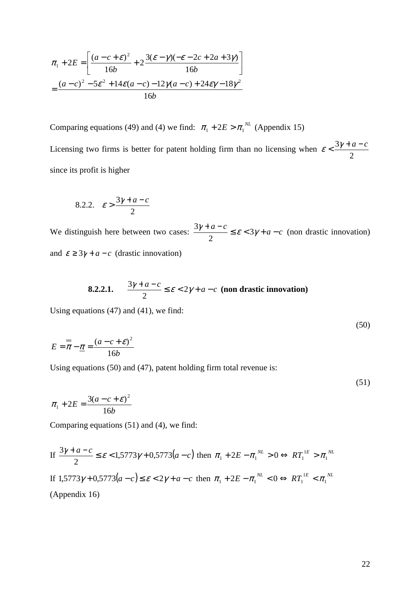$$
\pi_1 + 2E = \left[ \frac{(a - c + \varepsilon)^2}{16b} + 2 \frac{3(\varepsilon - \gamma)(-\varepsilon - 2c + 2a + 3\gamma)}{16b} \right]
$$

$$
= \frac{(a - c)^2 - 5\varepsilon^2 + 14\varepsilon(a - c) - 12\gamma(a - c) + 24\varepsilon\gamma - 18\gamma^2}{16b}
$$

Comparing equations (49) and (4) we find:  $\pi_1 + 2E > \pi_1^{NL}$  (Appendix 15) Licensing two firms is better for patent holding firm than no licensing when 2  $\varepsilon < \frac{3\gamma + a - c}{2}$ since its profit is higher

$$
8.2.2. \quad \varepsilon > \frac{3\gamma + a - c}{2}
$$

We distinguish here between two cases:  $\frac{3\gamma + a - c}{2} \le \varepsilon < 3\gamma + a - c$ 2  $\frac{3\gamma + a - c}{2} \le \varepsilon < 3\gamma + a - c$  (non drastic innovation) and  $\varepsilon \geq 3\gamma + a - c$  (drastic innovation)

8.2.2.1. 
$$
\frac{3\gamma + a - c}{2} \le \varepsilon < 2\gamma + a - c
$$
 (non drastic innovation)

Using equations (47) and (41), we find:

$$
E = \overline{\pi} - \underline{\pi} = \frac{(a - c + \varepsilon)^2}{16b}
$$

Using equations (50) and (47), patent holding firm total revenue is:

$$
\pi_1 + 2E = \frac{3(a-c+\varepsilon)^2}{16b}
$$

Comparing equations (51) and (4), we find:

If 
$$
\frac{3\gamma + a - c}{2} \leq \varepsilon < 1,5773\gamma + 0,5773(a - c)
$$
 then  $\pi_1 + 2E - \pi_1^{NL} > 0 \Leftrightarrow RT_1^{LE} > \pi_1^{NL}$ \n\nIf  $1,5773\gamma + 0,5773(a - c) \leq \varepsilon < 2\gamma + a - c$  then  $\pi_1 + 2E - \pi_1^{NL} < 0 \Leftrightarrow RT_1^{LE} < \pi_1^{NL}$ \n\n(Appendix 16)

(50)

(51)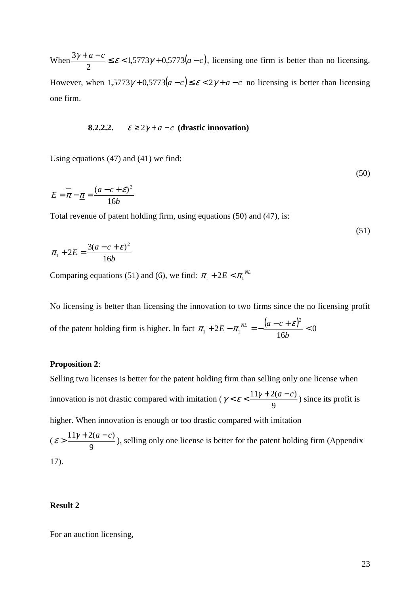When  $\frac{3\gamma + a - c}{2} \le \varepsilon < 1,5773\gamma + 0,5773(a - c)$ 2  $\frac{3\gamma + a - c}{2} \le \varepsilon < 1.5773\gamma + 0.5773(a - c)$ , licensing one firm is better than no licensing. However, when  $1,5773\gamma + 0,5773(a-c) \le \varepsilon < 2\gamma + a - c$  no licensing is better than licensing one firm.

#### **8.2.2.2.**  $\varepsilon \geq 2\gamma + a - c$  (drastic innovation)

Using equations (47) and (41) we find:

$$
E = \overline{\pi} - \underline{\pi} = \frac{(a - c + \varepsilon)^2}{16b}
$$

Total revenue of patent holding firm, using equations (50) and (47), is:

$$
\pi_1 + 2E = \frac{3(a - c + \varepsilon)^2}{16b}
$$

Comparing equations (51) and (6), we find:  $\pi_1 + 2E < \pi_1^{NL}$ 

No licensing is better than licensing the innovation to two firms since the no licensing profit of the patent holding firm is higher. In fact  $\pi_1 + 2E - \pi_1^{NL} = -\frac{(a - c + \varepsilon)^2}{2} < 0$ 16 2 2  $\tau_1 + 2E - \pi_1^{NL} = -\frac{(a-c+\varepsilon)^2}{16}$ *b*  $\pi_1 + 2E - \pi_1^{NL} = -\frac{(a-c+\varepsilon)}{(ac-\varepsilon)}$ 

#### **Proposition 2**:

Selling two licenses is better for the patent holding firm than selling only one license when innovation is not drastic compared with imitation ( 9  $\gamma < \varepsilon < \frac{11\gamma + 2(a-c)}{a}$  since its profit is higher. When innovation is enough or too drastic compared with imitation

( 9  $\epsilon > \frac{11\gamma + 2(a-c)}{2}$ , selling only one license is better for the patent holding firm (Appendix 17).

#### **Result 2**

For an auction licensing,

(50)

(51)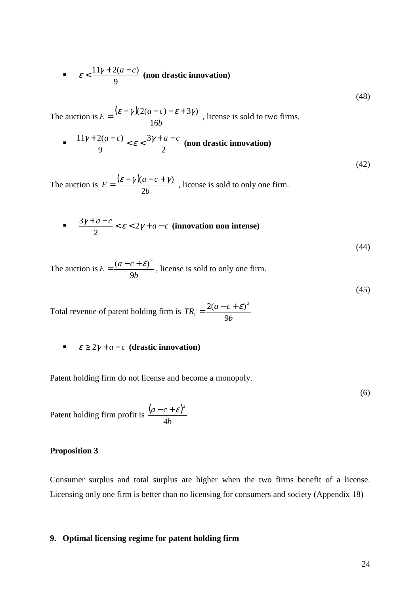• 
$$
\varepsilon < \frac{11\gamma + 2(a-c)}{9}
$$
 (non drastic innovation)

(48)

(42)

The auction is  $E = \frac{(\varepsilon - \gamma)(\varepsilon)}{(\varepsilon - \gamma)(\varepsilon)}$ *b*  $E = \frac{(\varepsilon - \gamma)(2(a-c))}{\sigma^2}$ 16  $=\frac{(\varepsilon-\gamma)(2(a-c)-\varepsilon+3\gamma)}{2(a-c)}$ , license is sold to two firms.

■ 
$$
\frac{11\gamma + 2(a-c)}{9} < \varepsilon < \frac{3\gamma + a - c}{2} \text{ (non drastic innovation)}
$$

The auction is  $E = \frac{(\varepsilon - \gamma)(\varepsilon)}{(\varepsilon - \gamma)(\varepsilon)}$ *b*  $E = \frac{(\varepsilon - \gamma)(a - c)}{2}$ 2  $=\frac{(\varepsilon-\gamma)(a-c+\gamma)}{2!}$ , license is sold to only one firm.

$$
\frac{3\gamma + a - c}{2} < \varepsilon < 2\gamma + a - c \quad \text{(innovation non intense)}\tag{44}
$$

The auction is *b*  $E = \frac{(a-c)}{c}$ 9  $=\frac{(a-c+\epsilon)^2}{2}$ , license is sold to only one firm.

(45)

Total revenue of patent holding firm is *b*  $TR_1 = \frac{2(a-c)}{a}$ 9  $2(a-c+\varepsilon)^2$ 1  $=\frac{2(a-c+\varepsilon)^2}{a}$ 

**■**  $\varepsilon \geq 2\gamma + a - c$  (drastic innovation)

Patent holding firm do not license and become a monopoly.

(6)

Patent holding firm profit is  $\frac{(a-c+\varepsilon)^n}{n}$ *b*  $a - c$ 4  $-c+\varepsilon)^2$ 

#### **Proposition 3**

Consumer surplus and total surplus are higher when the two firms benefit of a license. Licensing only one firm is better than no licensing for consumers and society (Appendix 18)

#### **9. Optimal licensing regime for patent holding firm**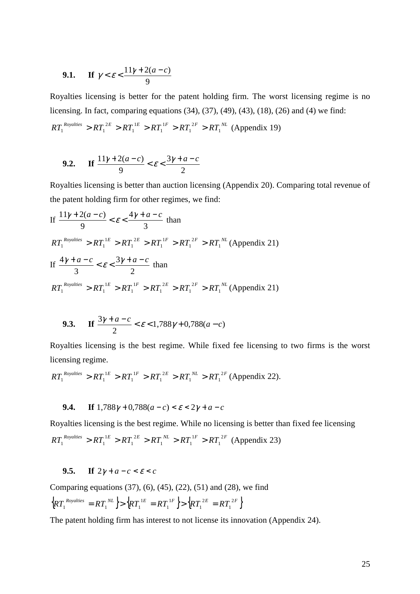9.1. If 
$$
\gamma < \varepsilon < \frac{11\gamma + 2(a - c)}{9}
$$

Royalties licensing is better for the patent holding firm. The worst licensing regime is no licensing. In fact, comparing equations (34), (37), (49), (43), (18), (26) and (4) we find:  $RT_1^{Royalities} > RT_1^{2E} > RT_1^{1E} > RT_1^{1F} > RT_1^{2F} > RT_1^{NL}$ 1 1 1 1 1  $R_{1}^{R_{Oyallies}} > RT_{1}^{2E} > RT_{1}^{1E} > RT_{1}^{1F} > RT_{1}^{2F} > RT_{1}^{NL}$  (Appendix 19)

9.2. If 
$$
\frac{11\gamma+2(a-c)}{9} < \varepsilon < \frac{3\gamma+a-c}{2}
$$

Royalties licensing is better than auction licensing (Appendix 20). Comparing total revenue of the patent holding firm for other regimes, we find:

If 
$$
\frac{11\gamma + 2(a-c)}{9} < \varepsilon < \frac{4\gamma + a - c}{3} \text{ than}
$$
\n
$$
RT_1^{Royalities} > RT_1^{1E} > RT_1^{2E} > RT_1^{1F} > RT_1^{2F} > RT_1^{NL} \text{ (Appendix 21)}
$$
\nIf 
$$
\frac{4\gamma + a - c}{3} < \varepsilon < \frac{3\gamma + a - c}{2} \text{ than}
$$
\n
$$
RT_1^{Royalities} > RT_1^{1E} > RT_1^{1F} > RT_1^{2E} > RT_1^{NL} \text{ (Appendix 21)}
$$

**9.3.** If 
$$
\frac{3\gamma + a - c}{2} < \varepsilon < 1,788\gamma + 0,788(a - c)
$$

Royalties licensing is the best regime. While fixed fee licensing to two firms is the worst licensing regime.

$$
RT_1^{Royalities} > RT_1^{1E} > RT_1^{1F} > RT_1^{2E} > RT_1^{NL} > RT_1^{2F}
$$
 (Appendix 22).

#### **9.4. If**  $1,788\gamma + 0,788(a-c) < \varepsilon < 2\gamma + a - c$

Royalties licensing is the best regime. While no licensing is better than fixed fee licensing  $RT_1^{Royalities} > RT_1^{1E} > RT_1^{2E} > RT_1^{NL} > RT_1^{1F} > RT_1^{2F}$ 1  $1 \sim \mathbf{M}_1$ 2 1  $T_1^{Royalities} > RT_1^{1E} > RT_1^{2E} > RT_1^{NL} > RT_1^{1F} > RT_1^{2F}$  (Appendix 23)

#### **9.5. If**  $2\gamma + a - c < \varepsilon < c$

Comparing equations (37), (6), (45), (22), (51) and (28), we find

$$
\left\{ RT_1^{Royalities} = RT_1^{NL} \right\} > \left\{ RT_1^{LE} = RT_1^{LF} \right\} > \left\{ RT_1^{2E} = RT_1^{2F} \right\}
$$

The patent holding firm has interest to not license its innovation (Appendix 24).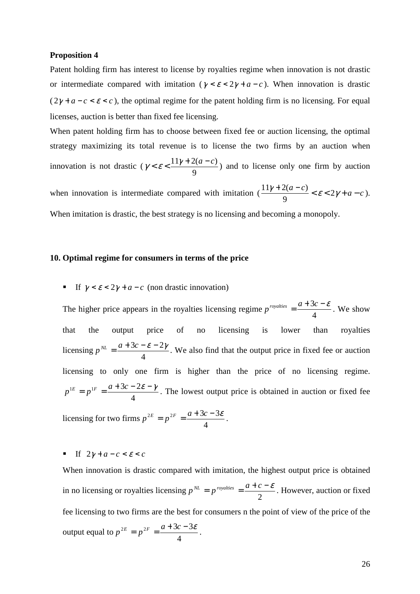#### **Proposition 4**

Patent holding firm has interest to license by royalties regime when innovation is not drastic or intermediate compared with imitation ( $\gamma < \varepsilon < 2\gamma + a - c$ ). When innovation is drastic  $(2\gamma + a - c < \varepsilon < c)$ , the optimal regime for the patent holding firm is no licensing. For equal licenses, auction is better than fixed fee licensing.

When patent holding firm has to choose between fixed fee or auction licensing, the optimal strategy maximizing its total revenue is to license the two firms by an auction when innovation is not drastic ( 9  $\gamma < \varepsilon < \frac{11\gamma + 2(a-c)}{a}$  and to license only one firm by auction

when innovation is intermediate compared with imitation  $\left(\frac{11\gamma + 2(a-c)}{a} < \varepsilon < 2\gamma + a - c\right)$ 9  $\frac{11\gamma+2(a-c)}{2} < \varepsilon < 2\gamma+a-c$ . When imitation is drastic, the best strategy is no licensing and becoming a monopoly.

#### **10. Optimal regime for consumers in terms of the price**

If  $\gamma < \varepsilon < 2\gamma + a - c$  (non drastic innovation)

The higher price appears in the royalties licensing regime 4  $p^{rovalties} = \frac{a + 3c - \varepsilon}{4}$ . We show that the output price of no licensing is lower than royalties licensing 4  $p^{NL} = \frac{a + 3c - \mathcal{E} - 2\gamma}{4}$ . We also find that the output price in fixed fee or auction licensing to only one firm is higher than the price of no licensing regime. 4  $p^{\perp E} = p^{\perp F} = \frac{a + 3c - 2\varepsilon - \gamma}{4}$ . The lowest output price is obtained in auction or fixed fee

licensing for two firms 4  $p^{2E} = p^{2F} = \frac{a + 3c - 3\varepsilon}{4}$ .

#### If  $2\gamma + a - c < \varepsilon < c$

When innovation is drastic compared with imitation, the highest output price is obtained in no licensing or royalties licensing 2  $p^{NL} = p^{rovalities} = \frac{a+c-\mathcal{E}}{2}$ . However, auction or fixed fee licensing to two firms are the best for consumers n the point of view of the price of the output equal to 4  $p^{2E} = p^{2F} = \frac{a + 3c - 3\varepsilon}{4}$ .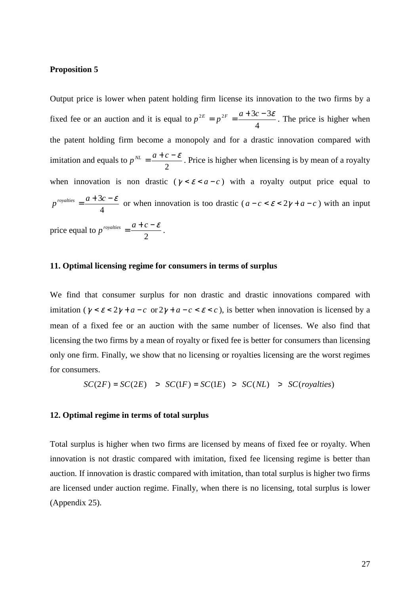#### **Proposition 5**

Output price is lower when patent holding firm license its innovation to the two firms by a fixed fee or an auction and it is equal to 4  $p^{2E} = p^{2F} = \frac{a + 3c - 3\varepsilon}{4}$ . The price is higher when the patent holding firm become a monopoly and for a drastic innovation compared with imitation and equals to 2  $p^{NL} = \frac{a+c-\mathcal{E}}{2}$ . Price is higher when licensing is by mean of a royalty when innovation is non drastic ( $\gamma < \varepsilon < a - c$ ) with a royalty output price equal to 4  $p^{rovalities} = \frac{a+3c-\varepsilon}{a}$  or when innovation is too drastic ( $a-c < \varepsilon < 2\gamma + a-c$ ) with an input price equal to 2  $p^{royalties} = \frac{a+c-\mathcal{E}}{2}$ .

#### **11. Optimal licensing regime for consumers in terms of surplus**

We find that consumer surplus for non drastic and drastic innovations compared with imitation ( $\gamma < \varepsilon < 2\gamma + a - c$  or  $2\gamma + a - c < \varepsilon < c$ ), is better when innovation is licensed by a mean of a fixed fee or an auction with the same number of licenses. We also find that licensing the two firms by a mean of royalty or fixed fee is better for consumers than licensing only one firm. Finally, we show that no licensing or royalties licensing are the worst regimes for consumers.

$$
SC(2F) = SC(2E) > SC(1F) = SC(1E) > SC(NL) > SC(royalties)
$$

#### **12. Optimal regime in terms of total surplus**

Total surplus is higher when two firms are licensed by means of fixed fee or royalty. When innovation is not drastic compared with imitation, fixed fee licensing regime is better than auction. If innovation is drastic compared with imitation, than total surplus is higher two firms are licensed under auction regime. Finally, when there is no licensing, total surplus is lower (Appendix 25).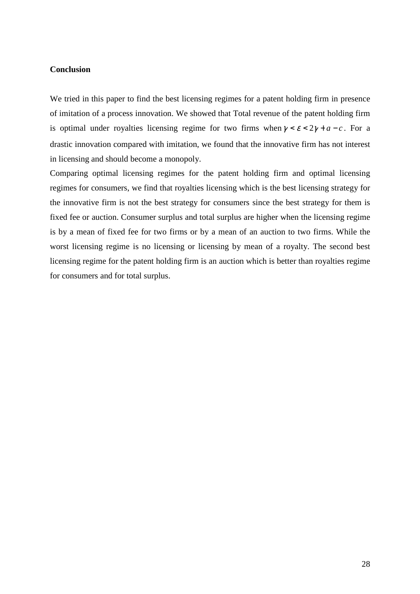#### **Conclusion**

We tried in this paper to find the best licensing regimes for a patent holding firm in presence of imitation of a process innovation. We showed that Total revenue of the patent holding firm is optimal under royalties licensing regime for two firms when  $\gamma < \varepsilon < 2\gamma + a - c$ . For a drastic innovation compared with imitation, we found that the innovative firm has not interest in licensing and should become a monopoly.

Comparing optimal licensing regimes for the patent holding firm and optimal licensing regimes for consumers, we find that royalties licensing which is the best licensing strategy for the innovative firm is not the best strategy for consumers since the best strategy for them is fixed fee or auction. Consumer surplus and total surplus are higher when the licensing regime is by a mean of fixed fee for two firms or by a mean of an auction to two firms. While the worst licensing regime is no licensing or licensing by mean of a royalty. The second best licensing regime for the patent holding firm is an auction which is better than royalties regime for consumers and for total surplus.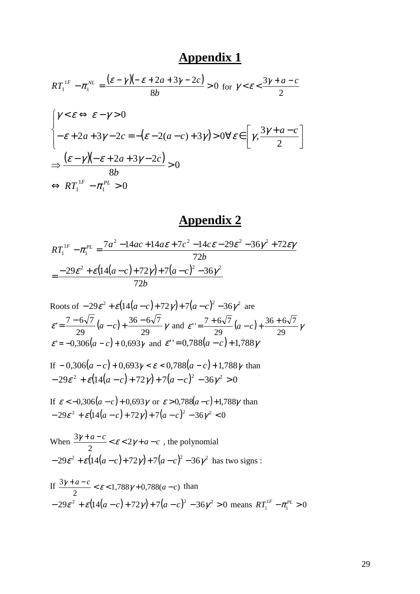$$
RT_1^{1F} - \pi_1^{NL} = \frac{(\varepsilon - \gamma)(-\varepsilon + 2a + 3\gamma - 2c)}{8b} > 0 \text{ for } \gamma < \varepsilon < \frac{3\gamma + a - c}{2}
$$

$$
\begin{cases}\n\gamma < \varepsilon \Leftrightarrow \varepsilon - \gamma > 0 \\
-\varepsilon + 2a + 3\gamma - 2c = -(\varepsilon - 2(a - c) + 3\gamma) > 0 \\
\Rightarrow \frac{(\varepsilon - \gamma)(-\varepsilon + 2a + 3\gamma - 2c)}{8b} > 0 \\
\Leftrightarrow RT_1^{1F} - \pi_1^{PL} > 0\n\end{cases}
$$

### **Appendix 2**

$$
RT_1^{1F} - \pi_1^{PL} = \frac{7a^2 - 14ac + 14a\epsilon + 7c^2 - 14c\epsilon - 29\epsilon^2 - 36\gamma^2 + 72\epsilon\gamma}{72b}
$$
  
= 
$$
\frac{-29\epsilon^2 + \epsilon(14(a-c) + 72\gamma) + 7(a-c)^2 - 36\gamma^2}{72b}
$$

Roots of 
$$
-29\varepsilon^2 + \varepsilon(14(a-c) + 72\gamma) + 7(a-c)^2 - 36\gamma^2
$$
 are  
\n
$$
\varepsilon' = \frac{7 - 6\sqrt{7}}{29}(a-c) + \frac{36 - 6\sqrt{7}}{29}\gamma
$$
 and 
$$
\varepsilon'' = \frac{7 + 6\sqrt{7}}{29}(a-c) + \frac{36 + 6\sqrt{7}}{29}\gamma
$$
\n
$$
\varepsilon' = -0,306(a-c) + 0,693\gamma
$$
 and 
$$
\varepsilon'' = 0,788(a-c) + 1,788\gamma
$$

If 
$$
-0,306(a-c)+0,693\gamma < \varepsilon < 0,788(a-c)+1,788\gamma
$$
 than  
 $-29\varepsilon^2 + \varepsilon(14(a-c)+72\gamma) + 7(a-c)^2 - 36\gamma^2 > 0$ 

If 
$$
\varepsilon < -0,306(a-c) + 0,693\gamma
$$
 or  $\varepsilon > 0,788(a-c) + 1,788\gamma$  than  
-29 $\varepsilon^2$  +  $\varepsilon$ (14 $(a-c)$ +72 $\gamma$ ) + 7 $(a-c)$ <sup>2</sup> - 36 $\gamma$ <sup>2</sup> < 0

When  $\frac{3\gamma + a - c}{2} < \varepsilon < 2\gamma + a - c$ 2  $\frac{3\gamma + a - c}{2} < \varepsilon < 2\gamma + a - c$ , the polynomial  $-29\varepsilon^2 + \varepsilon (14(a-c) + 72\gamma) + 7(a-c)^2 - 36\gamma^2$  has two signs :

If 
$$
\frac{3\gamma + a - c}{2} < \varepsilon < 1,788\gamma + 0,788(a - c)
$$
 than  
-29 $\varepsilon^2$  +  $\varepsilon$ (14 $(a - c)$  + 72 $\gamma$ ) + 7 $(a - c)$ <sup>2</sup> – 36 $\gamma$ <sup>2</sup> > 0 means  $RT_1^{1F} - \pi_1^{PL} > 0$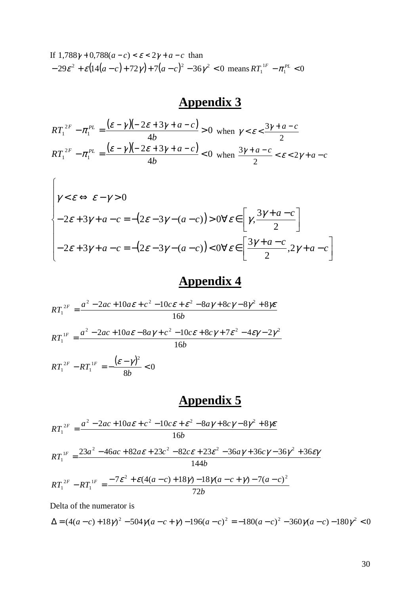If 
$$
1,788\gamma + 0,788(a-c) < \varepsilon < 2\gamma + a - c
$$
 than  
-29 $\varepsilon^2 + \varepsilon (14(a-c) + 72\gamma) + 7(a-c)^2 - 36\gamma^2 < 0$  means  $RT_1^{1F} - \pi_1^{PL} < 0$ 

$$
RT_1^{2F} - \pi_1^{PL} = \frac{(\varepsilon - \gamma)(-2\varepsilon + 3\gamma + a - c)}{4b} > 0 \text{ when } \gamma < \varepsilon < \frac{3\gamma + a - c}{2}
$$
\n
$$
RT_1^{2F} - \pi_1^{PL} = \frac{(\varepsilon - \gamma)(-2\varepsilon + 3\gamma + a - c)}{4b} < 0 \text{ when } \frac{3\gamma + a - c}{2} < \varepsilon < 2\gamma + a - c
$$

$$
\begin{cases} \gamma < \varepsilon \Leftrightarrow \varepsilon - \gamma > 0 \\ \n-2\varepsilon + 3\gamma + a - c &= -(2\varepsilon - 3\gamma - (a - c)) > 0 \forall \varepsilon \in \left[ \gamma, \frac{3\gamma + a - c}{2} \right] \\ \n-2\varepsilon + 3\gamma + a - c &= -(2\varepsilon - 3\gamma - (a - c)) < 0 \forall \varepsilon \in \left[ \frac{3\gamma + a - c}{2}, 2\gamma + a - c \right] \n\end{cases}
$$

# **Appendix 4**

$$
RT_1^{2F} = \frac{a^2 - 2ac + 10a\epsilon + c^2 - 10c\epsilon + \epsilon^2 - 8a\gamma + 8c\gamma - 8\gamma^2 + 8\gamma\epsilon}{16b}
$$
  

$$
RT_1^{1F} = \frac{a^2 - 2ac + 10a\epsilon - 8a\gamma + c^2 - 10c\epsilon + 8c\gamma + 7\epsilon^2 - 4\epsilon\gamma - 2\gamma^2}{16b}
$$

$$
RT_1^{2F} - RT_1^{1F} = -\frac{(\varepsilon - \gamma)^2}{8b} < 0
$$

# **Appendix 5**

$$
RT_1^{2F} = \frac{a^2 - 2ac + 10a\epsilon + c^2 - 10c\epsilon + \epsilon^2 - 8a\gamma + 8c\gamma - 8\gamma^2 + 8\gamma\epsilon}{16b}
$$
  

$$
RT_1^{1F} = \frac{23a^2 - 46ac + 82a\epsilon + 23c^2 - 82c\epsilon + 23\epsilon^2 - 36a\gamma + 36c\gamma - 36\gamma^2 + 36\epsilon\gamma}{144b}
$$

$$
RT_1^{2F} - RT_1^{1F} = \frac{-7\varepsilon^2 + \varepsilon(4(a-c) + 18\gamma) - 18\gamma(a-c+\gamma) - 7(a-c)^2}{72b}
$$

Delta of the numerator is

$$
\Delta = (4(a-c) + 18\gamma)^2 - 504\gamma(a-c+\gamma) - 196(a-c)^2 = -180(a-c)^2 - 360\gamma(a-c) - 180\gamma^2 < 0
$$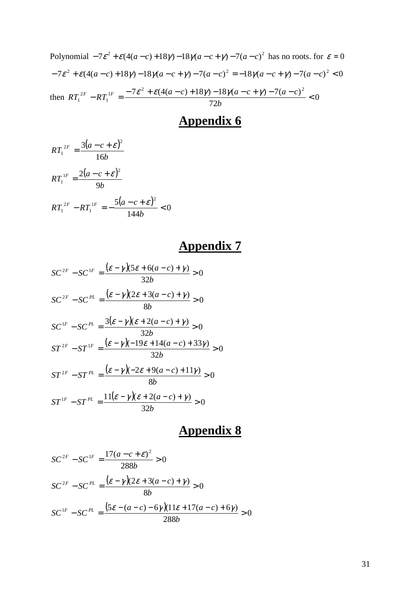Polynomial 
$$
-7\varepsilon^2 + \varepsilon(4(a-c) + 18\gamma) - 18\gamma(a-c+\gamma) - 7(a-c)^2
$$
 has no roots. for  $\varepsilon = 0$   
\n $-7\varepsilon^2 + \varepsilon(4(a-c) + 18\gamma) - 18\gamma(a-c+\gamma) - 7(a-c)^2 = -18\gamma(a-c+\gamma) - 7(a-c)^2 < 0$   
\nthen  $RT_1^{2F} - RT_1^{1F} = \frac{-7\varepsilon^2 + \varepsilon(4(a-c) + 18\gamma) - 18\gamma(a-c+\gamma) - 7(a-c)^2}{72b} < 0$ 

$$
RT_1^{2F} = \frac{3(a-c+\varepsilon)^2}{16b}
$$
  
\n
$$
RT_1^{1F} = \frac{2(a-c+\varepsilon)^2}{9b}
$$
  
\n
$$
RT_1^{2F} - RT_1^{1F} = -\frac{5(a-c+\varepsilon)^2}{144b} < 0
$$

# **Appendix 7**

$$
SC^{2F} - SC^{1F} = \frac{(\varepsilon - \gamma)(5\varepsilon + 6(a - c) + \gamma)}{32b} > 0
$$
  
\n
$$
SC^{2F} - SC^{PL} = \frac{(\varepsilon - \gamma)(2\varepsilon + 3(a - c) + \gamma)}{8b} > 0
$$
  
\n
$$
SC^{1F} - SC^{PL} = \frac{3(\varepsilon - \gamma)(\varepsilon + 2(a - c) + \gamma)}{32b} > 0
$$
  
\n
$$
ST^{2F} - ST^{1F} = \frac{(\varepsilon - \gamma)(-19\varepsilon + 14(a - c) + 33\gamma)}{32b} > 0
$$
  
\n
$$
ST^{2F} - ST^{PL} = \frac{(\varepsilon - \gamma)(-2\varepsilon + 9(a - c) + 11\gamma)}{8b} > 0
$$
  
\n
$$
ST^{1F} - ST^{PL} = \frac{11(\varepsilon - \gamma)(\varepsilon + 2(a - c) + \gamma)}{32b} > 0
$$

$$
SC^{2F} - SC^{1F} = \frac{17(a-c+\varepsilon)^2}{288b} > 0
$$
  

$$
SC^{2F} - SC^{PL} = \frac{(\varepsilon - \gamma)(2\varepsilon + 3(a-c) + \gamma)}{8b} > 0
$$
  

$$
SC^{1F} - SC^{PL} = \frac{(5\varepsilon - (a-c) - 6\gamma)(11\varepsilon + 17(a-c) + 6\gamma)}{288b} > 0
$$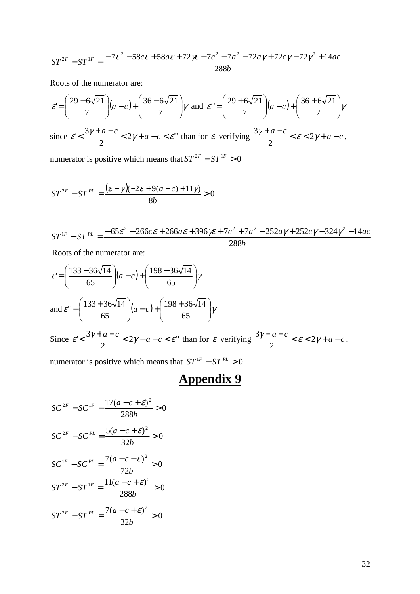$$
ST^{2F} - ST^{1F} = \frac{-7\varepsilon^2 - 58c\varepsilon + 58a\varepsilon + 72\varepsilon - 7c^2 - 7a^2 - 72a\gamma + 72c\gamma - 72\gamma^2 + 14ac}{288b}
$$

Roots of the numerator are:

$$
\varepsilon = \left(\frac{29 - 6\sqrt{21}}{7}\right)(a - c) + \left(\frac{36 - 6\sqrt{21}}{7}\right)\gamma \text{ and } \varepsilon' = \left(\frac{29 + 6\sqrt{21}}{7}\right)(a - c) + \left(\frac{36 + 6\sqrt{21}}{7}\right)\gamma
$$
  
since  $\varepsilon' < \frac{3\gamma + a - c}{2} < 2\gamma + a - c < \varepsilon$ '' than for  $\varepsilon$  verifying  $\frac{3\gamma + a - c}{2} < \varepsilon < 2\gamma + a - c$ ,  
numerator is positive which means that  $ST^{2F} - ST^{1F} > 0$ 

$$
ST^{2F} - ST^{PL} = \frac{(\varepsilon - \gamma)(-2\varepsilon + 9(a - c) + 11\gamma)}{8b} > 0
$$

*b*  $ST^{1F} - ST^{PL} = \frac{-65\varepsilon^2 - 266c\varepsilon + 266a\varepsilon + 396\varepsilon + 7c^2 + 7a^2 - 252a\varepsilon + 252c\varepsilon - 324\varepsilon^2 - 14ac}{268c\varepsilon + 266c\varepsilon + 266c\varepsilon + 266c\varepsilon + 266c\varepsilon + 266c\varepsilon + 266c\varepsilon + 266c\varepsilon + 266c\varepsilon + 266c\varepsilon + 266c\varepsilon + 266c\varepsilon + 266c\varepsilon + 266c\varepsilon + 2$ 288 <sup>1F</sup>  $-ST^{PL} = \frac{-65\varepsilon^2 - 266c\varepsilon + 266a\varepsilon + 396\varepsilon + 7c^2 + 7a^2 - 252a\gamma + 252c\gamma - 324\gamma^2 - 14}{268\varepsilon^2}$ 

Roots of the numerator are:

$$
\varepsilon = \left(\frac{133 - 36\sqrt{14}}{65}\right)(a - c) + \left(\frac{198 - 36\sqrt{14}}{65}\right)\gamma
$$
  
and 
$$
\varepsilon' = \left(\frac{133 + 36\sqrt{14}}{65}\right)(a - c) + \left(\frac{198 + 36\sqrt{14}}{65}\right)\gamma
$$
  
Since 
$$
\varepsilon' < \frac{3\gamma + a - c}{2} < 2\gamma + a - c < \varepsilon'' \text{ than for } \varepsilon \text{ verifying } \frac{3\gamma + a - c}{2} < \varepsilon < 2\gamma + a - c,
$$

numerator is positive which means that  $ST^{1F} - ST^{PL} > 0$ 

$$
SC^{2F} - SC^{1F} = \frac{17(a - c + \varepsilon)^2}{288b} > 0
$$
  

$$
SC^{2F} - SC^{PL} = \frac{5(a - c + \varepsilon)^2}{32b} > 0
$$
  

$$
SC^{1F} - SC^{PL} = \frac{7(a - c + \varepsilon)^2}{72b} > 0
$$
  

$$
ST^{2F} - ST^{1F} = \frac{11(a - c + \varepsilon)^2}{288b} > 0
$$
  

$$
ST^{2F} - ST^{PL} = \frac{7(a - c + \varepsilon)^2}{32b} > 0
$$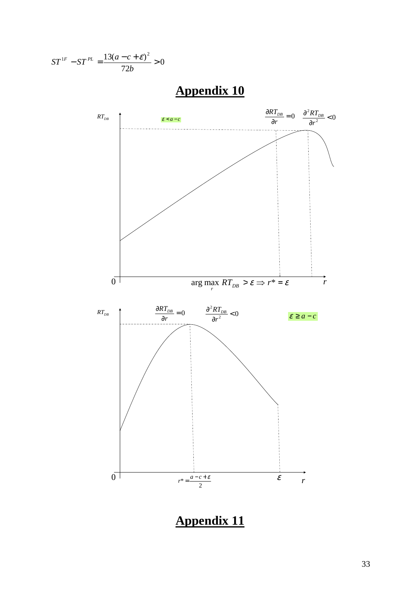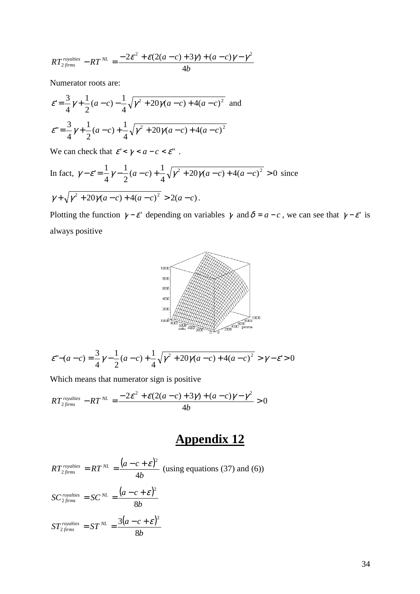$$
RT_{2, firms}^{rovalies} - RT^{NL} = \frac{-2\varepsilon^2 + \varepsilon(2(a-c) + 3\gamma) + (a-c)\gamma - \gamma^2}{4b}
$$

Numerator roots are:

$$
\varepsilon' = \frac{3}{4}\gamma + \frac{1}{2}(a-c) - \frac{1}{4}\sqrt{\gamma^2 + 20\gamma(a-c) + 4(a-c)^2}
$$
 and  

$$
\varepsilon'' = \frac{3}{4}\gamma + \frac{1}{2}(a-c) + \frac{1}{4}\sqrt{\gamma^2 + 20\gamma(a-c) + 4(a-c)^2}
$$

We can check that  $\varepsilon' < \gamma < a - c < \varepsilon$ ".

In fact, 
$$
\gamma - \varepsilon' = \frac{1}{4}\gamma - \frac{1}{2}(a-c) + \frac{1}{4}\sqrt{\gamma^2 + 20\gamma(a-c) + 4(a-c)^2} > 0
$$
 since  

$$
\gamma + \sqrt{\gamma^2 + 20\gamma(a-c) + 4(a-c)^2} > 2(a-c).
$$

Plotting the function  $\gamma - \varepsilon$  depending on variables  $\gamma$  and  $\delta = a - c$ , we can see that  $\gamma - \varepsilon$  is always positive



$$
\varepsilon^{n} - (a - c) = \frac{3}{4}\gamma - \frac{1}{2}(a - c) + \frac{1}{4}\sqrt{\gamma^{2} + 20\gamma(a - c) + 4(a - c)^{2}} > \gamma - \varepsilon > 0
$$

Which means that numerator sign is positive

$$
RT_{2\text{ firms}}^{\text{rovalities}} - RT^{\text{NL}} = \frac{-2\varepsilon^2 + \varepsilon(2(a-c) + 3\gamma) + (a-c)\gamma - \gamma^2}{4b} > 0
$$

### **Appendix 12**

 $(a-c+\varepsilon)^2$ *b*  $RT_{2\, firms}^{royalies} = RT^{NL} = \frac{(a-c)}{1}$  $f_{\text{irms}}$  -  $\sim$  11 - 4 2 2  $= RT^{NL} = \frac{(a-c+\varepsilon)^2}{4}$  (using equations (37) and (6))  $(a-c+\varepsilon)^2$ *b*  $SC_{2\, firms}^{royalties} = SC_{2\,R}^{NL} = \frac{(a-c)}{2}$  $f_{\text{irms}}$   $-5$ C  $-$  8 2 2  $=SC^{NL}=\frac{(a-c+\varepsilon)}{2}$  $(a-c+\varepsilon)^{n}$ *b*  $\delta T_{2\, firms}^{royalties} = \delta T^{NL} = \frac{3(a-c)}{2}$  $f_{\text{irms}}$  -  $\sigma$  -  $\sigma$  - 8  $3(a-c+\varepsilon)^2$ 2  $= ST^{NL} = \frac{3(a-c+\varepsilon)}{2}$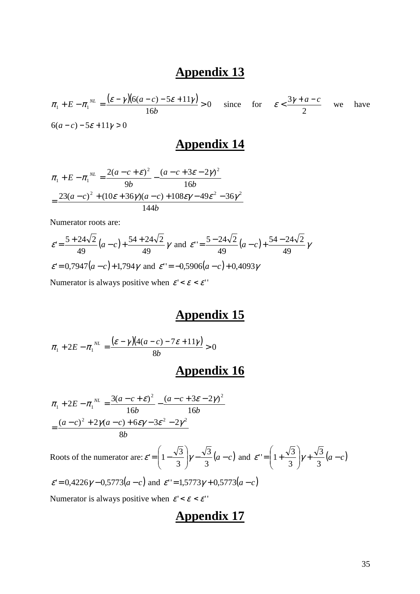$\frac{(\varepsilon - \gamma)(6(a-c) - 5\varepsilon + 11\gamma)}{6a} > 0$ 16  $\tau_1 + E - \pi_1^{NL} = \frac{(\varepsilon - \gamma)(6(a-c) - 5\varepsilon + 11\gamma)}{16b} >$ *b*  $\pi_1 + E - \pi_1^{NL} = \frac{(\varepsilon - \gamma)(6(a-c) - 5\varepsilon + 11\gamma)}{4\varsigma} > 0$  since for 2  $\epsilon < \frac{3\gamma + a - c}{2}$  we have  $6(a-c) - 5\varepsilon + 11\gamma > 0$ 

### **Appendix 14**

$$
\pi_1 + E - \pi_1^{NL} = \frac{2(a - c + \varepsilon)^2}{9b} - \frac{(a - c + 3\varepsilon - 2\gamma)^2}{16b}
$$

$$
= \frac{23(a - c)^2 + (10\varepsilon + 36\gamma)(a - c) + 108\varepsilon\gamma - 49\varepsilon^2 - 36\gamma^2}{144b}
$$

Numerator roots are:

$$
\varepsilon = \frac{5 + 24\sqrt{2}}{49} (a - c) + \frac{54 + 24\sqrt{2}}{49} \gamma \text{ and } \varepsilon' = \frac{5 - 24\sqrt{2}}{49} (a - c) + \frac{54 - 24\sqrt{2}}{49} \gamma
$$
  

$$
\varepsilon' = 0,7947 (a - c) + 1,794 \gamma \text{ and } \varepsilon' = -0,5906 (a - c) + 0,4093 \gamma
$$
  
Numerator is always positive when  $\varepsilon' < \varepsilon < \varepsilon'$ 

### **Appendix 15**

$$
\pi_1 + 2E - \pi_1^{NL} = \frac{(\varepsilon - \gamma)(4(a-c) - 7\varepsilon + 11\gamma)}{8b} > 0
$$

### **Appendix 16**

$$
\pi_1 + 2E - \pi_1^{NL} = \frac{3(a - c + \varepsilon)^2}{16b} - \frac{(a - c + 3\varepsilon - 2\gamma)^2}{16b}
$$

$$
= \frac{(a - c)^2 + 2\gamma(a - c) + 6\varepsilon\gamma - 3\varepsilon^2 - 2\gamma^2}{8b}
$$

Roots of the numerator are:  $\varepsilon = \left(1 - \frac{\sqrt{3}}{3}\right)\gamma - \frac{\sqrt{3}}{3}(a-c)$ J  $\backslash$  $\overline{\phantom{a}}$ l ſ  $= | 1 -$ 3 3 3  $\varepsilon = \left(1 - \frac{\sqrt{3}}{3}\right)\gamma - \frac{\sqrt{3}}{3}(a-c)$  and  $\varepsilon = \left(1 + \frac{\sqrt{3}}{3}\right)\gamma + \frac{\sqrt{3}}{3}(a-c)$ J  $\backslash$  $\overline{\phantom{a}}$ l ſ  $= 1 +$ 3 3 3  $\varepsilon$ " =  $\left(1+\frac{\sqrt{3}}{2}\right)\gamma$ 

$$
\varepsilon
$$
'= 0,4226 $\gamma$  – 0,5773 $(a - c)$  and  $\varepsilon$ ''=1,5773 $\gamma$  + 0,5773 $(a - c)$ 

Numerator is always positive when  $\varepsilon' < \varepsilon < \varepsilon$ "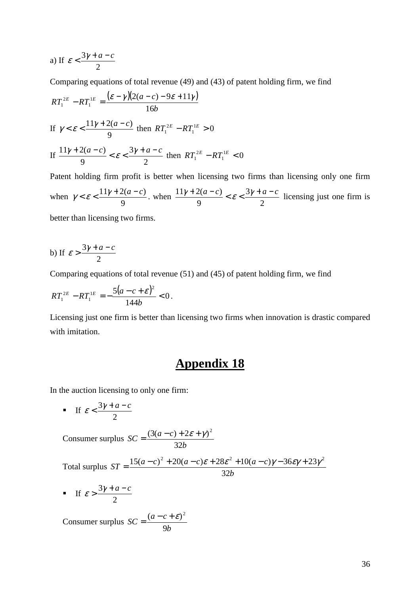a) If 2  $\varepsilon < \frac{3\gamma + a - c}{2}$ 

Comparing equations of total revenue (49) and (43) of patent holding firm, we find

$$
RT_1^{2E} - RT_1^{1E} = \frac{(\varepsilon - \gamma)(2(a - c) - 9\varepsilon + 11\gamma)}{16b}
$$
  
If  $\gamma < \varepsilon < \frac{11\gamma + 2(a - c)}{9}$  then  $RT_1^{2E} - RT_1^{1E} > 0$   
If  $\frac{11\gamma + 2(a - c)}{9} < \varepsilon < \frac{3\gamma + a - c}{2}$  then  $RT_1^{2E} - RT_1^{1E} < 0$   
Patent holding firm profit is better when licensing two firms than licensing only one firm

when 9  $\gamma < \varepsilon < \frac{11\gamma + 2(a-c)}{2}$ , when 2 3 9  $\frac{11\gamma + 2(a-c)}{a} < \varepsilon < \frac{3\gamma + a - c}{a}$  licensing just one firm is better than licensing two firms.

b) If 
$$
\varepsilon > \frac{3\gamma + a - c}{2}
$$

Comparing equations of total revenue (51) and (45) of patent holding firm, we find

$$
RT_1^{2E} - RT_1^{1E} = -\frac{5(a-c+\varepsilon)^2}{144b} < 0.
$$

Licensing just one firm is better than licensing two firms when innovation is drastic compared with imitation.

### **Appendix 18**

In the auction licensing to only one firm:

 $\blacksquare$  If 2  $\varepsilon < \frac{3\gamma + a - c}{2}$ 

Consumer surplus *b*  $\Delta$ *SC* =  $\frac{(3(a-c))}{(a-c)}$ 32  $=\frac{(3(a-c)+2\varepsilon+\gamma)^2}{2a}$ 

Total surplus *b*  $ST = \frac{15(a-c)^2 + 20(a-c)\varepsilon + 28\varepsilon^2 + 10(a-c)}{25}$ 32  $=\frac{15(a-c)^2 + 20(a-c)\varepsilon + 28\varepsilon^2 + 10(a-c)\gamma - 36\varepsilon\gamma + 23\gamma^2}{22\varepsilon^2}$ 

 $\blacksquare$  If 2  $\varepsilon > \frac{3\gamma + a - c}{2}$ 

Consumer surplus *b*  $\Delta C = \frac{(a-c)}{2}$ 9  $=\frac{(a-c+\varepsilon)^2}{2}$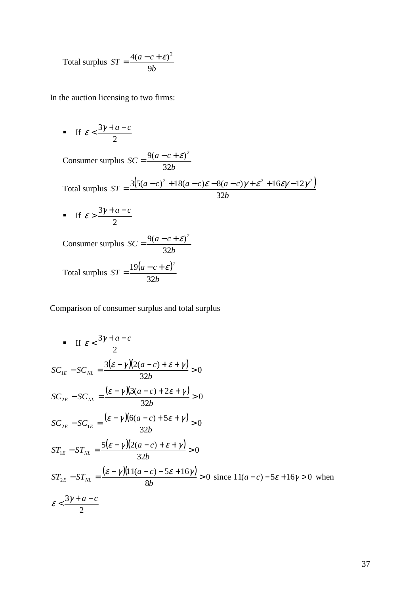Total surplus *b*  $ST = \frac{4(a-c)}{a}$ 9  $=\frac{4(a-c+\varepsilon)^2}{2}$ 

In the auction licensing to two firms:

 $\blacksquare$  If 2  $\varepsilon < \frac{3\gamma + a - c}{2}$ 

Consumer surplus *b*  $\Delta C = \frac{9(a-c)}{2a}$ 32  $=\frac{9(a-c+\varepsilon)^2}{2a}$ 

Total surplus  $ST = \frac{3(5(a-c)^2 + 18(a-c)\varepsilon - 8(a-c)\gamma + \varepsilon^2 + 16\varepsilon\gamma - 12\gamma^2)}{2(3a-c)^2}$ *b*  $ST = \frac{3(5(a-c)^2 + 18(a-c)\varepsilon - 8(a-c)}{2}$ 32  $=\frac{3(5(a-c)^2+18(a-c)\varepsilon-8(a-c)\gamma+\varepsilon^2+16\varepsilon\gamma-12\gamma^2}{2(5(a-c)^2+16\varepsilon\gamma-12\gamma^2)}$ 

 $\blacksquare$  If 2  $\mathcal{E} > \frac{3\gamma + a - c}{2}$ 

Consumer surplus *b*  $\Delta C = \frac{9(a-c)}{2a}$ 32  $=\frac{9(a-c+\varepsilon)^2}{2a}$ 

Total surplus 
$$
ST = \frac{19(a-c+\varepsilon)^2}{32b}
$$

Comparison of consumer surplus and total surplus

• If 
$$
\varepsilon < \frac{3\gamma + a - c}{2}
$$
  
\n
$$
SC_{1E} - SC_{NL} = \frac{3(\varepsilon - \gamma)(2(a - c) + \varepsilon + \gamma)}{32b} > 0
$$
\n
$$
SC_{2E} - SC_{NL} = \frac{(\varepsilon - \gamma)(3(a - c) + 2\varepsilon + \gamma)}{32b} > 0
$$
\n
$$
SC_{2E} - SC_{1E} = \frac{(\varepsilon - \gamma)(6(a - c) + 5\varepsilon + \gamma)}{32b} > 0
$$
\n
$$
ST_{1E} - ST_{NL} = \frac{5(\varepsilon - \gamma)(2(a - c) + \varepsilon + \gamma)}{32b} > 0
$$
\n
$$
ST_{2E} - ST_{NL} = \frac{(\varepsilon - \gamma)(11(a - c) - 5\varepsilon + 16\gamma)}{8b} > 0 \text{ since } 11(a - c) - 5\varepsilon + 16\gamma > 0 \text{ when }
$$
\n
$$
\varepsilon < \frac{3\gamma + a - c}{2}
$$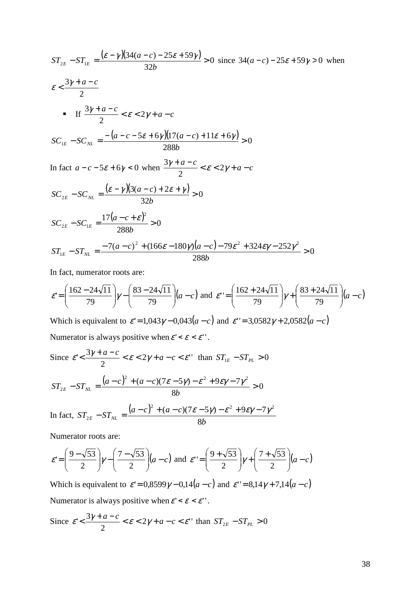$$
ST_{2E} - ST_{1E} = \frac{(\varepsilon - \gamma)(34(a-c) - 25\varepsilon + 59\gamma)}{32b} > 0 \text{ since } 34(a-c) - 25\varepsilon + 59\gamma > 0 \text{ when}
$$
\n
$$
\varepsilon < \frac{3\gamma + a - c}{2}
$$
\n• If  $\frac{3\gamma + a - c}{2} < \varepsilon < 2\gamma + a - c$ \n
$$
SC_{1E} - SC_{NL} = \frac{-(a - c - 5\varepsilon + 6\gamma)(17(a-c) + 11\varepsilon + 6\gamma)}{288b} > 0
$$
\nIn fact  $a - c - 5\varepsilon + 6\gamma < 0$  when  $\frac{3\gamma + a - c}{2} < \varepsilon < 2\gamma + a - c$ \n
$$
SC_{2E} - SC_{NL} = \frac{(\varepsilon - \gamma)(3(a-c) + 2\varepsilon + \gamma)}{32b} > 0
$$
\n
$$
SC_{2E} - SC_{1E} = \frac{17(a-c+\varepsilon)^2}{288b} > 0
$$
\n
$$
ST_{1E} - ST_{NL} = \frac{-7(a-c)^2 + (166\varepsilon - 180\gamma)(a-c) - 79\varepsilon^2 + 324\varepsilon\gamma - 252\gamma^2}{288b} > 0
$$

In fact, numerator roots are:

$$
\varepsilon = \left(\frac{162 - 24\sqrt{11}}{79}\right)\gamma - \left(\frac{83 - 24\sqrt{11}}{79}\right)(a - c) \text{ and } \varepsilon = \left(\frac{162 + 24\sqrt{11}}{79}\right)\gamma + \left(\frac{83 + 24\sqrt{11}}{79}\right)(a - c)
$$

Which is equivalent to  $\varepsilon' = 1,043\gamma - 0,043(a - c)$  and  $\varepsilon' = 3,0582\gamma + 2,0582(a - c)$ Numerator is always positive when  $\varepsilon' < \varepsilon < \varepsilon'$ .

Since 
$$
\varepsilon' < \frac{3\gamma + a - c}{2} < \varepsilon < 2\gamma + a - c < \varepsilon''
$$
 than  $ST_{1E} - ST_{PL} > 0$   

$$
ST_{2E} - ST_{NL} = \frac{(a - c)^2 + (a - c)(7\varepsilon - 5\gamma) - \varepsilon^2 + 9\varepsilon\gamma - 7\gamma^2}{8b} > 0
$$

In fact, 
$$
ST_{2E} - ST_{NL} = \frac{(a-c)^2 + (a-c)(7\varepsilon - 5\gamma) - \varepsilon^2 + 9\varepsilon\gamma - 7\gamma^2}{8b}
$$

Numerator roots are:

$$
\varepsilon = \left(\frac{9-\sqrt{53}}{2}\right)\gamma - \left(\frac{7-\sqrt{53}}{2}\right)(a-c) \text{ and } \varepsilon' = \left(\frac{9+\sqrt{53}}{2}\right)\gamma + \left(\frac{7+\sqrt{53}}{2}\right)(a-c)
$$

Which is equivalent to  $\varepsilon' = 0.8599\gamma - 0.14(a - c)$  and  $\varepsilon' = 8.14\gamma + 7.14(a - c)$ Numerator is always positive when  $\varepsilon' < \varepsilon < \varepsilon'$ .

Since 
$$
\varepsilon' < \frac{3\gamma + a - c}{2} < \varepsilon < 2\gamma + a - c < \varepsilon
$$
" than  $ST_{2E} - ST_{PL} > 0$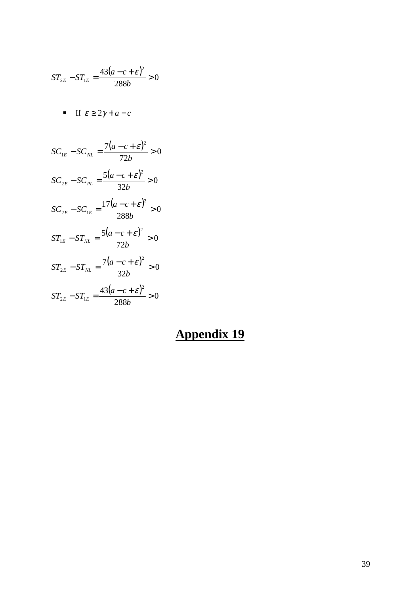$$
ST_{2E} - ST_{1E} = \frac{43(a - c + \varepsilon)^2}{288b} > 0
$$

$$
\blacksquare \quad \text{If } \varepsilon \ge 2\gamma + a - c
$$

 $\frac{(a-c+\varepsilon)^2}{\sigma} > 0$ 72  $7(a-c+\varepsilon)^2$  $S_{1E} - SC_{NL} = \frac{7(a-c+\mathcal{E})^2}{72!} >$ *b*  $\mathcal{S}C_{1E} - \mathcal{S}C_{NL} = \frac{7(a-c+\varepsilon)}{32L}$  $\frac{(a-c+\varepsilon)^2}{2a} > 0$ 32  $5(a-c+\varepsilon)^2$  $\sum_{2E} - SC_{PL} = \frac{5(a-c+\mathcal{E})^2}{22L} >$ *b*  $SC_{2E} - SC_{PL} = \frac{5(a-c+\varepsilon)}{22L}$  $\frac{(a-c+\varepsilon)^2}{200} > 0$ 288  $17(a-c+\varepsilon)^2$  $\sum_{2E} - SC_{1E} = \frac{17(a-c+\mathcal{E})^2}{288L} >$ *b*  $SC_{2E} - SC_{1E} = \frac{17(a-c) + \mathcal{E}}{288L}$  $\frac{(a-c+\varepsilon)^2}{2a} > 0$ 72  $5(a-c+\varepsilon)^2$  $T_{1E} - ST_{NL} = \frac{5(a-c+\varepsilon)^2}{72L} >$ *b*  $ST_{1E} - ST_{NL} = \frac{5(a-c) \epsilon}{72L}$  $\frac{(a-c+\varepsilon)^2}{2a} > 0$ 32  $7(a-c+\varepsilon)^2$  $T_{2E} - ST_{NL} = \frac{7(a-c+\mathcal{E})^2}{22L} >$ *b*  $ST_{2E} - ST_{NL} = \frac{7(a-c+\varepsilon)}{22L}$  $\frac{(a-c+\varepsilon)^2}{200} > 0$ 288  $43(a-c+\varepsilon)^2$  $T_{2E} - ST_{1E} = \frac{43(a-c+\mathcal{E})^2}{299L} >$ *b*  $ST_{2E} - ST_{1E} = \frac{43(a-c) \epsilon}{288L}$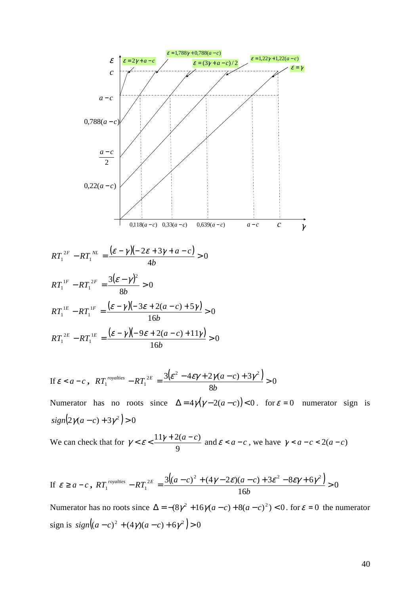

If 
$$
\varepsilon < a-c
$$
,  $RT_1^{royalties} - RT_1^{2E} = \frac{3(\varepsilon^2 - 4\varepsilon\gamma + 2\gamma(a-c) + 3\gamma^2)}{8b} > 0$ 

Numerator has no roots since  $\Delta = 4\gamma(\gamma - 2(a - c)) < 0$ . for  $\varepsilon = 0$  numerator sign is  $sign\left(2\gamma(a-c)+3\gamma^2\right)>0$ 

We can check that for 9  $\gamma < \varepsilon < \frac{11\gamma + 2(a-c)}{a}$  and  $\varepsilon < a-c$ , we have  $\gamma < a-c < 2(a-c)$ 

$$
\text{If } \varepsilon \ge a-c \text{ , } RT_1^{\text{rovalties}} - RT_1^{2E} = \frac{3\left((a-c)^2 + (4\gamma - 2\varepsilon)(a-c) + 3\varepsilon^2 - 8\varepsilon\gamma + 6\gamma^2\right)}{16b} > 0
$$

Numerator has no roots since  $\Delta = -(8\gamma^2 + 16\gamma(a-c) + 8(a-c)^2) < 0$ . for  $\varepsilon = 0$  the numerator  $sign is sign\left( (a-c)^2 + (4\gamma)(a-c) + 6\gamma^2 \right) > 0$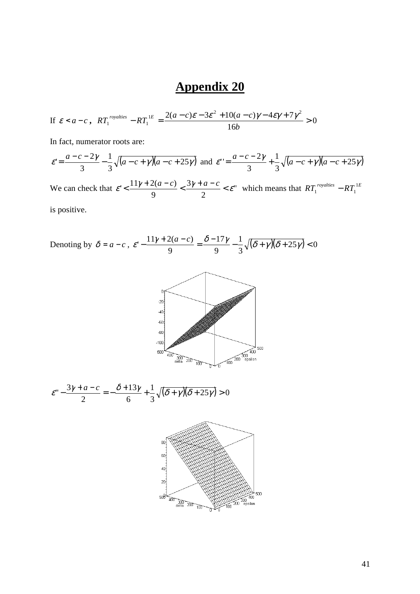$$
\text{If } \varepsilon < a-c \,, \quad RT_1^{\text{rovalities}} - RT_1^{\text{1E}} = \frac{2(a-c)\varepsilon - 3\varepsilon^2 + 10(a-c)\gamma - 4\varepsilon\gamma + 7\gamma^2}{16b} > 0
$$

In fact, numerator roots are:

$$
\varepsilon = \frac{a-c-2\gamma}{3} - \frac{1}{3}\sqrt{(a-c+\gamma)(a-c+25\gamma)}
$$
 and 
$$
\varepsilon' = \frac{a-c-2\gamma}{3} + \frac{1}{3}\sqrt{(a-c+\gamma)(a-c+25\gamma)}
$$

We can check that  $\mathcal{E}' \leq \frac{11}{\epsilon} \frac{2(\mathbf{u} - \mathbf{c})}{\epsilon} < \frac{3}{\epsilon} \frac{1}{\epsilon} \frac{d}{d\mathbf{c}} < \mathcal{E}''$ 2 3 9  $\mathcal{E}' \leq \frac{11\gamma + 2(a-c)}{2} \leq \frac{3\gamma + a-c}{2} \leq \mathcal{E}''$  which means that  $RT_1^{rovalties} - RT_1^{1E}$ 

is positive.

Denoting by 
$$
\delta = a - c
$$
,  $\varepsilon' - \frac{11\gamma + 2(a - c)}{9} = \frac{\delta - 17\gamma}{9} - \frac{1}{3}\sqrt{(\delta + \gamma)(\delta + 25\gamma)} < 0$ 



$$
\varepsilon'' - \frac{3\gamma + a - c}{2} = -\frac{\delta + 13\gamma}{6} + \frac{1}{3}\sqrt{(\delta + \gamma)(\delta + 25\gamma)} > 0
$$

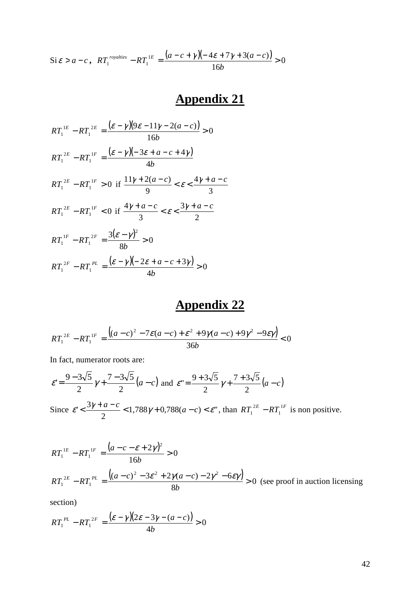$$
\text{Si}\,\varepsilon > a-c\,,\ \ RT_1^{\text{rovalties}} - RT_1^{\text{1E}} = \frac{(a-c+\gamma)(-4\varepsilon+7\gamma+3(a-c))}{16b} > 0
$$

$$
RT_1^{1E} - RT_1^{2E} = \frac{(\varepsilon - \gamma)(9\varepsilon - 11\gamma - 2(a - c))}{16b} > 0
$$
  
\n
$$
RT_1^{2E} - RT_1^{1F} = \frac{(\varepsilon - \gamma)(-3\varepsilon + a - c + 4\gamma)}{4b}
$$
  
\n
$$
RT_1^{2E} - RT_1^{1F} > 0 \text{ if } \frac{11\gamma + 2(a - c)}{9} < \varepsilon < \frac{4\gamma + a - c}{3}
$$
  
\n
$$
RT_1^{2E} - RT_1^{1F} < 0 \text{ if } \frac{4\gamma + a - c}{3} < \varepsilon < \frac{3\gamma + a - c}{2}
$$
  
\n
$$
RT_1^{1F} - RT_1^{2F} = \frac{3(\varepsilon - \gamma)^2}{8b} > 0
$$
  
\n
$$
RT_1^{2F} - RT_1^{PL} = \frac{(\varepsilon - \gamma)(-2\varepsilon + a - c + 3\gamma)}{4b} > 0
$$

# **Appendix 22**

$$
RT_1^{2E} - RT_1^{1F} = \frac{((a-c)^2 - 7\varepsilon(a-c) + \varepsilon^2 + 9\gamma(a-c) + 9\gamma^2 - 9\varepsilon\gamma)}{36b} < 0
$$

In fact, numerator roots are:

$$
\varepsilon = \frac{9 - 3\sqrt{5}}{2} \gamma + \frac{7 - 3\sqrt{5}}{2} (a - c) \text{ and } \varepsilon = \frac{9 + 3\sqrt{5}}{2} \gamma + \frac{7 + 3\sqrt{5}}{2} (a - c)
$$
  
Since  $\varepsilon' < \frac{3\gamma + a - c}{2} < 1,788\gamma + 0,788(a - c) < \varepsilon''$ , than  $RT_1^{2E} - RT_1^{1F}$  is non positive.

$$
RT_1^{1E} - RT_1^{1F} = \frac{(a - c - \varepsilon + 2\gamma)^2}{16b} > 0
$$
  

$$
RT_1^{2E} - RT_1^{PL} = \frac{((a - c)^2 - 3\varepsilon^2 + 2\gamma(a - c) - 2\gamma^2 - 6\varepsilon\gamma)}{8b} > 0
$$
 (see proof in auction licensing

section)

$$
RT_1^{PL} - RT_1^{2F} = \frac{(\varepsilon - \gamma)(2\varepsilon - 3\gamma - (a - c))}{4b} > 0
$$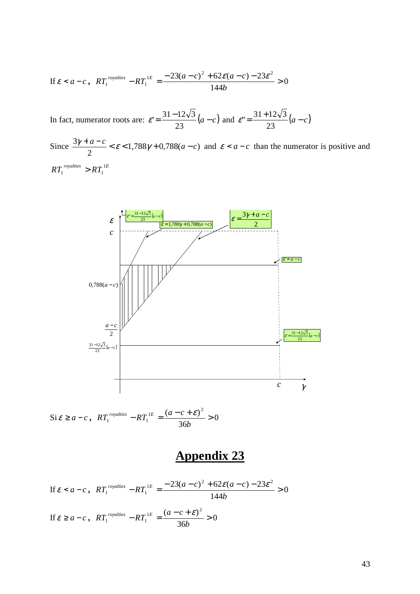$$
\text{If } \varepsilon < a - c \,, \ RT_1^{\text{rovalities}} - RT_1^{\text{1E}} = \frac{-23(a-c)^2 + 62\varepsilon(a-c) - 23\varepsilon^2}{144b} > 0
$$

In fact, numerator roots are:  $\varepsilon' = \frac{31 - 12\sqrt{3}}{22} (a - c)$ 23  $\varepsilon' = \frac{31 - 12\sqrt{3}}{22}(a - c)$  and  $\varepsilon'' = \frac{31 + 12\sqrt{3}}{22}(a - c)$ 23  $\varepsilon$ " =  $\frac{31 + 12\sqrt{3}}{2}$ 

Since  $\frac{37 + a}{2} < \varepsilon < 1,788 \gamma + 0,788(a - c)$ 2  $\frac{3\gamma + a - c}{2} < \varepsilon < 1,788\gamma + 0,788(a - c)$  and  $\varepsilon < a - c$  than the numerator is positive and  $RT_1^{royalties} > RT_1^{1E}$ 



$$
\text{Si}\,\varepsilon \ge a - c\,,\ RT_1^{rovalties} - RT_1^{1E} = \frac{(a - c + \varepsilon)^2}{36b} > 0
$$

$$
\text{If } \varepsilon < a - c \,, \ RT_1^{\text{rovalities}} - RT_1^{\text{1E}} = \frac{-23(a - c)^2 + 62\varepsilon(a - c) - 23\varepsilon^2}{144b} > 0
$$
\n
$$
\text{If } \varepsilon \ge a - c \,, \ RT_1^{\text{rovalities}} - RT_1^{\text{1E}} = \frac{(a - c + \varepsilon)^2}{36b} > 0
$$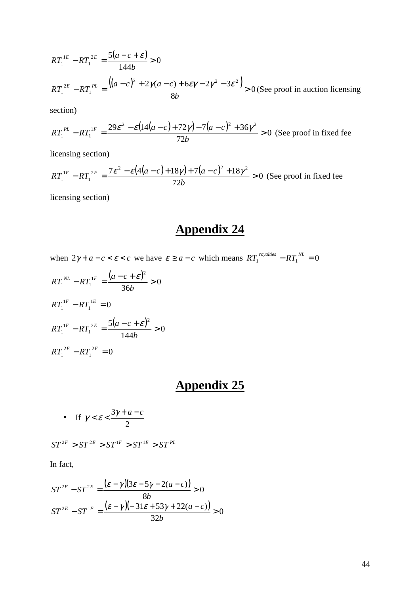$$
RT_1^{1E} - RT_1^{2E} = \frac{5(a - c + \varepsilon)}{144b} > 0
$$
  

$$
RT_1^{2E} - RT_1^{PL} = \frac{((a - c)^2 + 2\gamma(a - c) + 6\varepsilon\gamma - 2\gamma^2 - 3\varepsilon^2)}{8b} > 0
$$
 (See proof in auction licensing)

section)

$$
RT_1^{PL} - RT_1^{1F} = \frac{29\varepsilon^2 - \varepsilon \left( \frac{14(a-c) + 72\gamma}{72b} - \frac{7(a-c)^2 + 36\gamma^2}{72b} \right)}{72b} > 0
$$
 (See proof in fixed fee)

licensing section)

$$
RT_1^{1F} - RT_1^{2F} = \frac{7\epsilon^2 - \epsilon(4(a-c) + 18\gamma) + 7(a-c)^2 + 18\gamma^2}{72b} > 0
$$
 (See proof in fixed fee)

licensing section)

## **Appendix 24**

when  $2\gamma + a - c < \varepsilon < c$  we have  $\varepsilon \ge a - c$  which means  $RT_1^{rovalties} - RT_1^{NL} = 0$ 

$$
RT_1^{NL} - RT_1^{1F} = \frac{(a - c + \varepsilon)^2}{36b} > 0
$$
  
\n
$$
RT_1^{1F} - RT_1^{1E} = 0
$$
  
\n
$$
RT_1^{1F} - RT_1^{2E} = \frac{5(a - c + \varepsilon)^2}{144b} > 0
$$
  
\n
$$
RT_1^{2E} - RT_1^{2F} = 0
$$

### **Appendix 25**

• If 
$$
\gamma < \varepsilon < \frac{3\gamma + a - c}{2}
$$

 $ST^{2F} > ST^{2E} > ST^{1F} > ST^{1E} > ST^{PL}$ 

In fact,

$$
ST^{2F} - ST^{2E} = \frac{(\varepsilon - \gamma)(3\varepsilon - 5\gamma - 2(a - c))}{8b} > 0
$$
  

$$
ST^{2E} - ST^{1F} = \frac{(\varepsilon - \gamma)(-31\varepsilon + 53\gamma + 22(a - c))}{32b} > 0
$$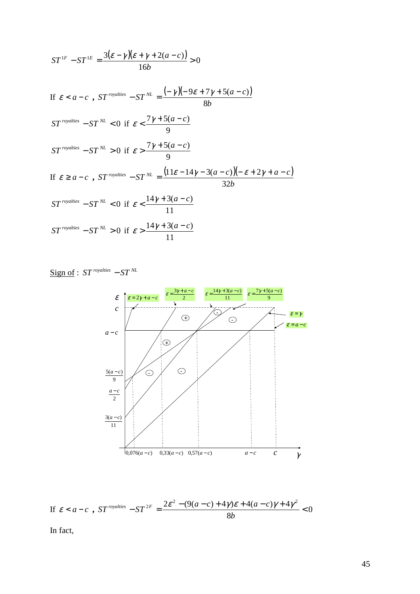$$
ST^{IF} - ST^{IE} = \frac{3(\varepsilon - \gamma)(\varepsilon + \gamma + 2(a - c))}{16b} > 0
$$
  
If  $\varepsilon < a - c$ ,  $ST^{rovalties} - ST^{NL} = \frac{(-\gamma)(-9\varepsilon + 7\gamma + 5(a - c))}{8b}$   

$$
ST^{rovalties} - ST^{NL} < 0 \text{ if } \varepsilon < \frac{7\gamma + 5(a - c)}{9}
$$
  
If  $\varepsilon \ge a - c$ ,  $ST^{rovalies} - ST^{NL} = \frac{(11\varepsilon - 14\gamma - 3(a - c))(-\varepsilon + 2\gamma + a - c)}{32b}$   

$$
ST^{rovalties} - ST^{NL} < 0 \text{ if } \varepsilon < \frac{14\gamma + 3(a - c)}{11}
$$
  

$$
ST^{rovalties} - ST^{NL} > 0 \text{ if } \varepsilon > \frac{14\gamma + 3(a - c)}{11}
$$

$$
\underline{\text{Sign of}} : ST^{\text{rovalities}} - ST^{\text{NL}}
$$





In fact,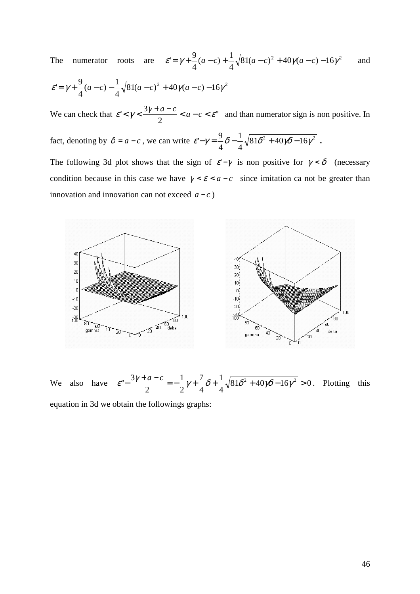The numerator roots are  $\varepsilon' = \gamma + \frac{3}{2}(a-c) + \frac{1}{2}\sqrt{81(a-c)^2 + 40\gamma(a-c) - 16\gamma^2}$ 4  $(a-c)+\frac{1}{4}$ 4  $\varepsilon = \gamma + \frac{9}{2}(a-c) + \frac{1}{2}\sqrt{81(a-c)^2 + 40\gamma(a-c) - 16\gamma^2}$  and

$$
\varepsilon = \gamma + \frac{9}{4}(a-c) - \frac{1}{4}\sqrt{81(a-c)^2 + 40\gamma(a-c) - 16\gamma^2}
$$

We can check that  $\varepsilon < \gamma < \frac{57 + a}{2} < a - c < \varepsilon$ " 2  $\varepsilon' < \gamma < \frac{3\gamma + a - c}{2} < a - c < \varepsilon$ " and than numerator sign is non positive. In

fact, denoting by  $\delta = a - c$ , we can write  $\varepsilon - \gamma = -\frac{9}{2}\delta - \frac{1}{2}\sqrt{81\delta^2 + 40\gamma\delta - 16\gamma^2}$ 4 1 4  $\varepsilon - \gamma = \frac{9}{2}\delta - \frac{1}{2}\sqrt{81\delta^2 + 40\gamma\delta - 16\gamma^2}$ .

The following 3d plot shows that the sign of  $\varepsilon - \gamma$  is non positive for  $\gamma < \delta$  (necessary condition because in this case we have  $\gamma < \varepsilon < a - c$  since imitation ca not be greater than innovation and innovation can not exceed  $a - c$ )



We also have  $\varepsilon^{-\frac{3}{4}} = -\frac{1}{2}\gamma + \frac{1}{2}\delta + \frac{1}{2}\sqrt{81}\delta^2 + 40\gamma\delta - 16\gamma^2 > 0$ 4 1 4 7 2 1 2  $\varepsilon'' - \frac{3\gamma + a - c}{2} = -\frac{1}{2}\gamma + \frac{7}{4}\delta + \frac{1}{4}\sqrt{81\delta^2 + 40\gamma\delta - 16\gamma^2} > 0$ . Plotting this equation in 3d we obtain the followings graphs: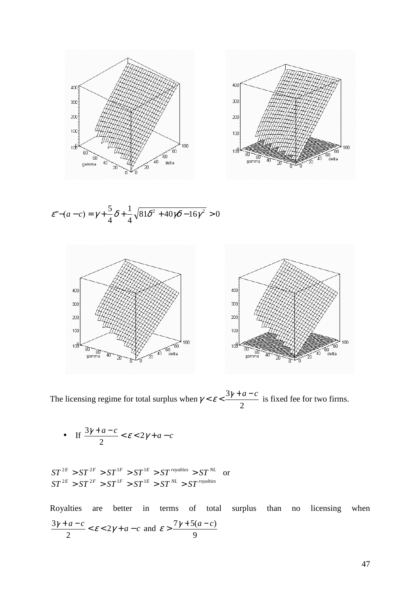

$$
\varepsilon^{n} - (a - c) = \gamma + \frac{5}{4}\delta + \frac{1}{4}\sqrt{81\delta^{2} + 40\gamma\delta - 16\gamma^{2}} > 0
$$



The licensing regime for total surplus when 2  $\gamma < \varepsilon < \frac{3\gamma + a - c}{2}$  is fixed fee for two firms.

• If  $\frac{3\gamma+a-c}{2} < \varepsilon < 2\gamma+a-c$ 2 3

 $ST^{2E} > ST^{2F} > ST^{1F} > ST^{1E} > ST^{royalties} > ST^{NL}$  or  $ST^{2E} > ST^{2F} > ST^{1F} > ST^{1E} > ST^{1E} > ST^{NL} > ST^{royalites}$ 

Royalties are better in terms of total surplus than no licensing when  $\frac{\gamma + a - c}{2} < \varepsilon < 2\gamma + a - c$ 2  $\frac{3\gamma + a - c}{2} < \varepsilon < 2\gamma + a - c$  and 9  $\varepsilon > \frac{7\gamma + 5(a-c)}{2}$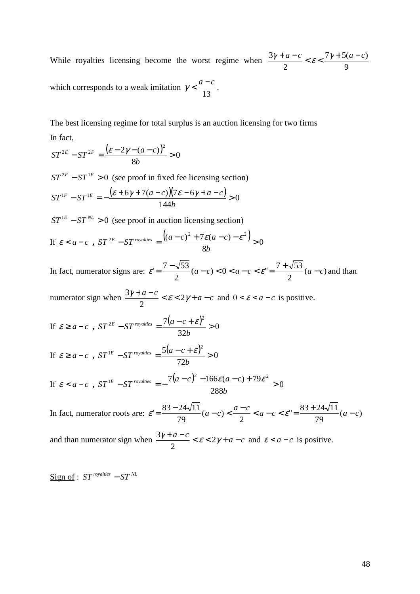While royalties licensing become the worst regime when 9  $7\gamma + 5(a-c)$ 2  $\frac{3\gamma+a-c}{2} < \varepsilon < \frac{7\gamma+5(a-c)}{2}$ which corresponds to a weak imitation  $\gamma < \frac{a-c}{\sqrt{a-c}}$ .

13

The best licensing regime for total surplus is an auction licensing for two firms In fact,

$$
ST^{2E} - ST^{2F} = \frac{(\varepsilon - 2\gamma - (a - c))^2}{8b} > 0
$$

 $ST^{2F} - ST^{1F} > 0$  (see proof in fixed fee licensing section)  $\frac{(\varepsilon + 6\gamma + 7(a-c))(7\varepsilon - 6\gamma + a - c)}{8} > 0$ 144  ${}^{1F} - ST^{1E} = -\frac{(\varepsilon + 6\gamma + 7(a-c))(7\varepsilon - 6\gamma + a - c)}{1 + (1 + \varepsilon)(7\varepsilon - 6\gamma + a)}$ *b*  $\delta T^{\text{1F}} - \delta T^{\text{1E}} = -\frac{(\varepsilon + 6\gamma + 7(a-c))(7\varepsilon - 6\gamma + a - c)}{6\gamma + 6\gamma + 6\gamma + a - c}$ 

 $ST^{1E} - ST^{NL} > 0$  (see proof in auction licensing section)

If  $\varepsilon < a-c$ ,  $ST^{2E} - ST^{rovalties} = \frac{((a-c)^2 + 7\varepsilon(a-c) - \varepsilon^2)}{2C} > 0$ 8  $e^{2E} - ST$  royalties  $= \frac{((a-c)^2 + 7\varepsilon(a-c) - \varepsilon^2)}{2C}$ *b*  $\int \mathcal{S} T^{2E} - \mathcal{S} T^{royalties} = \frac{\left((a-c)^2 + 7\varepsilon(a-c) - \varepsilon\right)}{2\pi}$ 

In fact, numerator signs are:  $\varepsilon' = \frac{1}{2} (a-c) < 0 < a-c < \varepsilon'' = \frac{1}{2} (a-c)$ 2  $(a-c) < 0 < a-c < \varepsilon$ " =  $\frac{7+\sqrt{53}}{2}$ 2  $\varepsilon = \frac{7 - \sqrt{53}}{2} (a - c) < 0 < a - c < \varepsilon = \frac{7 + \sqrt{53}}{2} (a - c)$  and than

numerator sign when  $\frac{3\gamma + a - c}{2} < \varepsilon < 2\gamma + a - c$ 2  $\frac{3\gamma + a - c}{2} < \varepsilon < 2\gamma + a - c$  and  $0 < \varepsilon < a - c$  is positive.

If 
$$
\varepsilon \ge a - c
$$
,  $ST^{2E} - ST^{rovalties} = \frac{7(a - c + \varepsilon)^2}{32b} > 0$ 

If 
$$
\varepsilon \ge a - c
$$
,  $ST^{1E} - ST^{royalities} = \frac{5(a - c + \varepsilon)^2}{72b} > 0$ 

If 
$$
\varepsilon < a - c
$$
,  $ST^{1E} - ST^{rovalties} = -\frac{7(a-c)^2 - 166\varepsilon(a-c) + 79\varepsilon^2}{288b} > 0$ 

In fact, numerator roots are:  $\varepsilon' = \frac{0.66 \times 10^{-4} \text{ m}}{2 \text{ s}} (a-c) < \frac{a-c}{2} < a-c < \varepsilon'' = \frac{0.66 \times 10^{-4} \text{ m}}{2 \text{ s}} (a-c)$ 79  $v = \frac{83 + 24\sqrt{11}}{78}$ 2  $(a-c)$ 79  $\varepsilon = \frac{83 - 24\sqrt{11}}{2} (a-c) < \frac{a-c}{2} < a-c < \varepsilon = \frac{83 + 24\sqrt{11}}{2} (a-c)$ 

and than numerator sign when  $\frac{3\gamma + a - c}{\gamma} < \varepsilon < 2\gamma + a - c$ 2  $\frac{3\gamma + a - c}{2} < \varepsilon < 2\gamma + a - c$  and  $\varepsilon < a - c$  is positive.

Sign of :  $ST$ <sup>*royalties*  $-ST$ <sup>*NL*</sup></sup>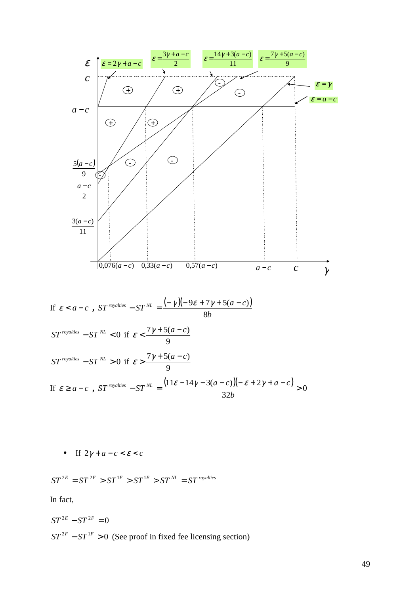

$$
\text{If } \varepsilon \ge a - c \text{ , } ST^{\text{rovalities}} - ST^{\text{NL}} = \frac{(11\varepsilon - 14\gamma - 3(a - c))(-\varepsilon + 2\gamma + a - c)}{32b} > 0
$$

• If  $2\gamma + a - c < \varepsilon < c$ 

$$
ST^{2E} = ST^{2F} > ST^{1F} > ST^{1E} > ST^{NL} = ST^{royalities}
$$

In fact,

$$
ST^{2E} - ST^{2F} = 0
$$
  

$$
ST^{2F} - ST^{1F} > 0
$$
 (See proof in fixed fee licensing section)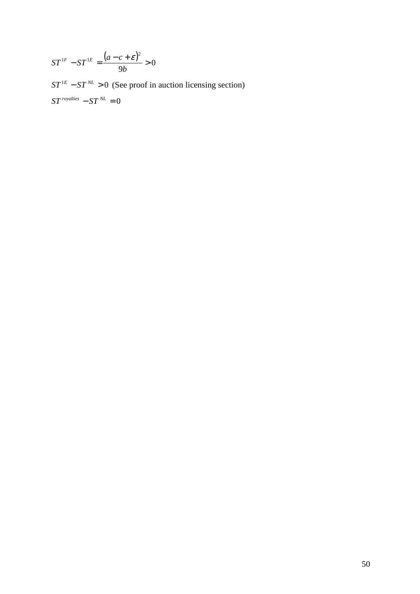$$
ST^{1F} - ST^{1E} = \frac{(a - c + \varepsilon)^2}{9b} > 0
$$

 $ST^{1E} - ST^{NL} > 0$  (See proof in auction licensing section)  $ST$ <sup>royalties</sup>  $- ST^{NL} = 0$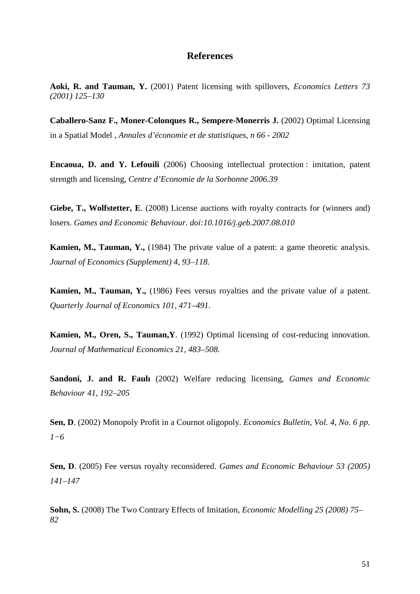#### **References**

**Aoki, R. and Tauman, Y.** (2001) Patent licensing with spillovers, *Economics Letters 73 (2001) 125–130*

**Caballero-Sanz F., Moner-Colonques R., Sempere-Monerris J.** (2002) Optimal Licensing in a Spatial Model , *Annales d'économie et de statistiques, n 66 - 2002*

**Encaoua, D. and Y. Lefouili** (2006) Choosing intellectual protection : imitation, patent strength and licensing, *Centre d'Economie de la Sorbonne 2006.39* 

Giebe, T., Wolfstetter, E. (2008) License auctions with royalty contracts for (winners and) losers. *Games and Economic Behaviour. doi:10.1016/j.geb.2007.08.010* 

**Kamien, M., Tauman, Y.,** (1984) The private value of a patent: a game theoretic analysis. *Journal of Economics (Supplement) 4, 93–118.*

**Kamien, M., Tauman, Y.,** (1986) Fees versus royalties and the private value of a patent. *Quarterly Journal of Economics 101, 471–491.*

**Kamien, M., Oren, S., Tauman,Y**. (1992) Optimal licensing of cost-reducing innovation. *Journal of Mathematical Economics 21, 483–508.*

**Sandoni, J. and R. Faulı** (2002) Welfare reducing licensing, *Games and Economic Behaviour 41, 192–205*

**Sen, D**. (2002) Monopoly Profit in a Cournot oligopoly. *Economics Bulletin, Vol. 4, No. 6 pp. 1−6*

**Sen, D**. (2005) Fee versus royalty reconsidered. *Games and Economic Behaviour 53 (2005) 141–147* 

**Sohn, S.** (2008) The Two Contrary Effects of Imitation, *Economic Modelling 25 (2008) 75– 82*